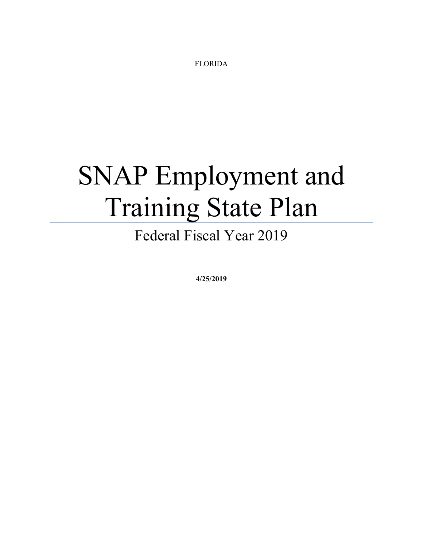FLORIDA

# SNAP Employment and Training State Plan

Federal Fiscal Year 2019

**4/25/2019**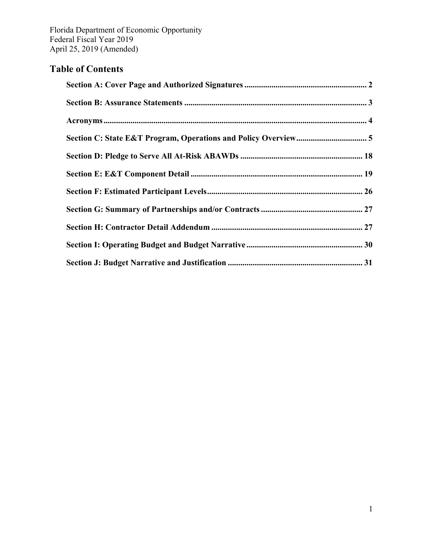# **Table of Contents**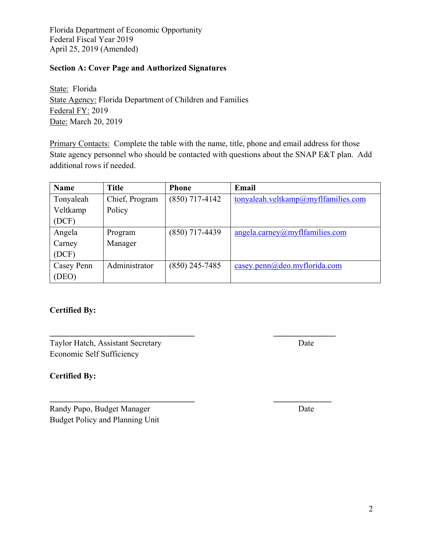## **Section A: Cover Page and Authorized Signatures**

State: Florida State Agency: Florida Department of Children and Families Federal FY: 2019 Date: March 20, 2019

Primary Contacts: Complete the table with the name, title, phone and email address for those State agency personnel who should be contacted with questions about the SNAP E&T plan. Add additional rows if needed.

| <b>Name</b> | <b>Title</b>   | <b>Phone</b>     | Email                               |
|-------------|----------------|------------------|-------------------------------------|
| Tonyaleah   | Chief, Program | $(850)$ 717-4142 | tonyaleah.veltkamp@myflfamilies.com |
| Veltkamp    | Policy         |                  |                                     |
| (DCF)       |                |                  |                                     |
| Angela      | Program        | $(850)$ 717-4439 | angleacarney@myffamilies.com        |
| Carney      | Manager        |                  |                                     |
| (DCF)       |                |                  |                                     |
| Casey Penn  | Administrator  | $(850)$ 245-7485 | casey.penn@deo.myflorida.com        |
| (DEO)       |                |                  |                                     |

**\_\_\_\_\_\_\_\_\_\_\_\_\_\_\_\_\_\_\_\_\_\_\_\_\_\_\_\_\_\_\_\_\_\_\_ \_\_\_\_\_\_\_\_\_\_\_\_\_\_\_** 

 $\mathcal{L}_\mathcal{L} = \{ \mathcal{L}_\mathcal{L} \}$ 

## **Certified By:**

| Taylor Hatch, Assistant Secretary | Date |
|-----------------------------------|------|
| Economic Self Sufficiency         |      |

### **Certified By:**

Randy Pupo, Budget Manager Date Budget Policy and Planning Unit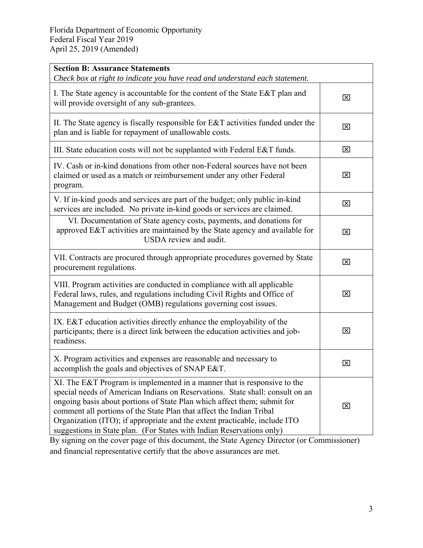| <b>Section B: Assurance Statements</b><br>Check box at right to indicate you have read and understand each statement.                                                                                                                                                                                                                                                                                                                                                |             |
|----------------------------------------------------------------------------------------------------------------------------------------------------------------------------------------------------------------------------------------------------------------------------------------------------------------------------------------------------------------------------------------------------------------------------------------------------------------------|-------------|
| I. The State agency is accountable for the content of the State E&T plan and<br>will provide oversight of any sub-grantees.                                                                                                                                                                                                                                                                                                                                          | ⊠           |
| II. The State agency is fiscally responsible for $E&T$ activities funded under the<br>plan and is liable for repayment of unallowable costs.                                                                                                                                                                                                                                                                                                                         | ⊠           |
| III. State education costs will not be supplanted with Federal E&T funds.                                                                                                                                                                                                                                                                                                                                                                                            | ⊠           |
| IV. Cash or in-kind donations from other non-Federal sources have not been<br>claimed or used as a match or reimbursement under any other Federal<br>program.                                                                                                                                                                                                                                                                                                        | ⊠           |
| V. If in-kind goods and services are part of the budget; only public in-kind<br>services are included. No private in-kind goods or services are claimed.                                                                                                                                                                                                                                                                                                             | 区           |
| VI. Documentation of State agency costs, payments, and donations for<br>approved E&T activities are maintained by the State agency and available for<br>USDA review and audit.                                                                                                                                                                                                                                                                                       | $\boxtimes$ |
| VII. Contracts are procured through appropriate procedures governed by State<br>procurement regulations.                                                                                                                                                                                                                                                                                                                                                             | ⊠           |
| VIII. Program activities are conducted in compliance with all applicable<br>Federal laws, rules, and regulations including Civil Rights and Office of<br>Management and Budget (OMB) regulations governing cost issues.                                                                                                                                                                                                                                              | $\boxtimes$ |
| IX. E&T education activities directly enhance the employability of the<br>participants; there is a direct link between the education activities and job-<br>readiness.                                                                                                                                                                                                                                                                                               | ⊠           |
| X. Program activities and expenses are reasonable and necessary to<br>accomplish the goals and objectives of SNAP E&T.                                                                                                                                                                                                                                                                                                                                               | ⊠           |
| XI. The E&T Program is implemented in a manner that is responsive to the<br>special needs of American Indians on Reservations. State shall: consult on an<br>ongoing basis about portions of State Plan which affect them; submit for<br>comment all portions of the State Plan that affect the Indian Tribal<br>Organization (ITO); if appropriate and the extent practicable, include ITO<br>suggestions in State plan. (For States with Indian Reservations only) | ⊠           |

By signing on the cover page of this document, the State Agency Director (or Commissioner) and financial representative certify that the above assurances are met.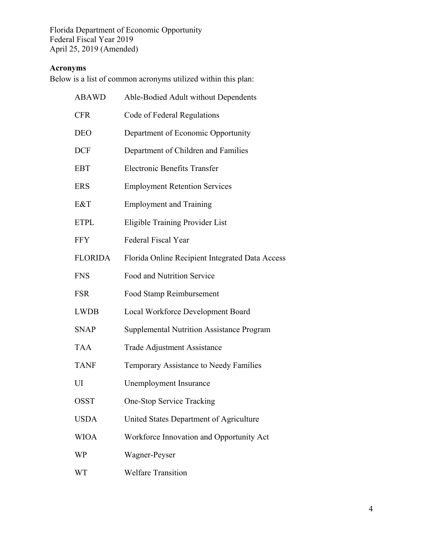## **Acronyms**

Below is a list of common acronyms utilized within this plan:

| <b>ABAWD</b>   | Able-Bodied Adult without Dependents             |
|----------------|--------------------------------------------------|
| <b>CFR</b>     | Code of Federal Regulations                      |
| <b>DEO</b>     | Department of Economic Opportunity               |
| <b>DCF</b>     | Department of Children and Families              |
| <b>EBT</b>     | <b>Electronic Benefits Transfer</b>              |
| <b>ERS</b>     | <b>Employment Retention Services</b>             |
| E&T            | <b>Employment and Training</b>                   |
| <b>ETPL</b>    | Eligible Training Provider List                  |
| <b>FFY</b>     | <b>Federal Fiscal Year</b>                       |
| <b>FLORIDA</b> | Florida Online Recipient Integrated Data Access  |
| <b>FNS</b>     | Food and Nutrition Service                       |
| <b>FSR</b>     | Food Stamp Reimbursement                         |
| <b>LWDB</b>    | Local Workforce Development Board                |
| <b>SNAP</b>    | <b>Supplemental Nutrition Assistance Program</b> |
| <b>TAA</b>     | <b>Trade Adjustment Assistance</b>               |
| <b>TANF</b>    | Temporary Assistance to Needy Families           |
| UI             | Unemployment Insurance                           |
| <b>OSST</b>    | <b>One-Stop Service Tracking</b>                 |
| <b>USDA</b>    | United States Department of Agriculture          |
| <b>WIOA</b>    | Workforce Innovation and Opportunity Act         |
| WP             | Wagner-Peyser                                    |
|                |                                                  |

WT Welfare Transition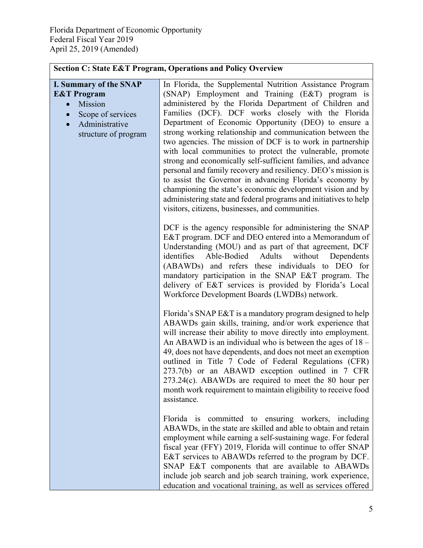| <b>Section C: State E&amp;T Program, Operations and Policy Overview</b>                                                                                                  |                                                                                                                                                                                                                                                                                                                                                                                                                                                                                                                                                                                                                                                                                                                                                                                                                                                                  |  |
|--------------------------------------------------------------------------------------------------------------------------------------------------------------------------|------------------------------------------------------------------------------------------------------------------------------------------------------------------------------------------------------------------------------------------------------------------------------------------------------------------------------------------------------------------------------------------------------------------------------------------------------------------------------------------------------------------------------------------------------------------------------------------------------------------------------------------------------------------------------------------------------------------------------------------------------------------------------------------------------------------------------------------------------------------|--|
| <b>I. Summary of the SNAP</b><br><b>E&amp;T</b> Program<br>Mission<br>$\bullet$<br>Scope of services<br>$\bullet$<br>Administrative<br>$\bullet$<br>structure of program | In Florida, the Supplemental Nutrition Assistance Program<br>(SNAP) Employment and Training (E&T) program is<br>administered by the Florida Department of Children and<br>Families (DCF). DCF works closely with the Florida<br>Department of Economic Opportunity (DEO) to ensure a<br>strong working relationship and communication between the<br>two agencies. The mission of DCF is to work in partnership<br>with local communities to protect the vulnerable, promote<br>strong and economically self-sufficient families, and advance<br>personal and family recovery and resiliency. DEO's mission is<br>to assist the Governor in advancing Florida's economy by<br>championing the state's economic development vision and by<br>administering state and federal programs and initiatives to help<br>visitors, citizens, businesses, and communities. |  |
|                                                                                                                                                                          | DCF is the agency responsible for administering the SNAP<br>E&T program. DCF and DEO entered into a Memorandum of<br>Understanding (MOU) and as part of that agreement, DCF<br>identifies<br>Able-Bodied<br>Adults<br>without<br>Dependents<br>(ABAWDs) and refers these individuals to DEO for<br>mandatory participation in the SNAP E&T program. The<br>delivery of E&T services is provided by Florida's Local<br>Workforce Development Boards (LWDBs) network.                                                                                                                                                                                                                                                                                                                                                                                              |  |
|                                                                                                                                                                          | Florida's SNAP E&T is a mandatory program designed to help<br>ABAWDs gain skills, training, and/or work experience that<br>will increase their ability to move directly into employment.<br>An ABAWD is an individual who is between the ages of $18 -$<br>49, does not have dependents, and does not meet an exemption<br>outlined in Title 7 Code of Federal Regulations (CFR)<br>273.7(b) or an ABAWD exception outlined in 7 CFR<br>$273.24(c)$ . ABAWDs are required to meet the 80 hour per<br>month work requirement to maintain eligibility to receive food<br>assistance.                                                                                                                                                                                                                                                                               |  |
|                                                                                                                                                                          | Florida is committed to ensuring workers, including<br>ABAWDs, in the state are skilled and able to obtain and retain<br>employment while earning a self-sustaining wage. For federal<br>fiscal year (FFY) 2019, Florida will continue to offer SNAP<br>E&T services to ABAWDs referred to the program by DCF.<br>SNAP E&T components that are available to ABAWDs<br>include job search and job search training, work experience,<br>education and vocational training, as well as services offered                                                                                                                                                                                                                                                                                                                                                             |  |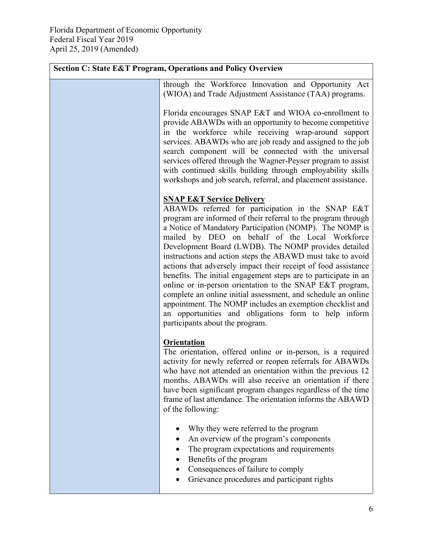| <b>Section C: State E&amp;T Program, Operations and Policy Overview</b> |                                                                                                                                                                                                                                                                                                                                                                                                                                                                                                                                                                                                                                                                                                                                                                                                                         |  |
|-------------------------------------------------------------------------|-------------------------------------------------------------------------------------------------------------------------------------------------------------------------------------------------------------------------------------------------------------------------------------------------------------------------------------------------------------------------------------------------------------------------------------------------------------------------------------------------------------------------------------------------------------------------------------------------------------------------------------------------------------------------------------------------------------------------------------------------------------------------------------------------------------------------|--|
|                                                                         | through the Workforce Innovation and Opportunity Act<br>(WIOA) and Trade Adjustment Assistance (TAA) programs.                                                                                                                                                                                                                                                                                                                                                                                                                                                                                                                                                                                                                                                                                                          |  |
|                                                                         | Florida encourages SNAP E&T and WIOA co-enrollment to<br>provide ABAWDs with an opportunity to become competitive<br>in the workforce while receiving wrap-around support<br>services. ABAWDs who are job ready and assigned to the job<br>search component will be connected with the universal<br>services offered through the Wagner-Peyser program to assist<br>with continued skills building through employability skills<br>workshops and job search, referral, and placement assistance.                                                                                                                                                                                                                                                                                                                        |  |
|                                                                         | <b>SNAP E&amp;T Service Delivery</b><br>ABAWDs referred for participation in the SNAP E&T<br>program are informed of their referral to the program through<br>a Notice of Mandatory Participation (NOMP). The NOMP is<br>mailed by DEO on behalf of the Local Workforce<br>Development Board (LWDB). The NOMP provides detailed<br>instructions and action steps the ABAWD must take to avoid<br>actions that adversely impact their receipt of food assistance<br>benefits. The initial engagement steps are to participate in an<br>online or in-person orientation to the SNAP E&T program,<br>complete an online initial assessment, and schedule an online<br>appointment. The NOMP includes an exemption checklist and<br>an opportunities and obligations form to help inform<br>participants about the program. |  |
|                                                                         | <b>Orientation</b><br>The orientation, offered online or in-person, is a required<br>activity for newly referred or reopen referrals for ABAWDs<br>who have not attended an orientation within the previous 12<br>months. ABAWDs will also receive an orientation if there<br>have been significant program changes regardless of the time<br>frame of last attendance. The orientation informs the ABAWD<br>of the following:                                                                                                                                                                                                                                                                                                                                                                                          |  |
|                                                                         | Why they were referred to the program<br>An overview of the program's components<br>The program expectations and requirements<br>Benefits of the program<br>Consequences of failure to comply<br>Grievance procedures and participant rights                                                                                                                                                                                                                                                                                                                                                                                                                                                                                                                                                                            |  |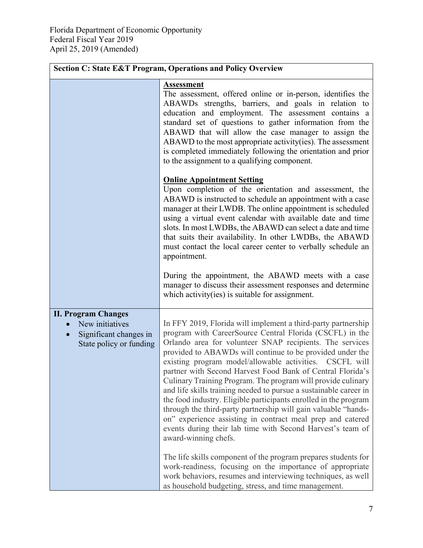| <b>Section C: State E&amp;T Program, Operations and Policy Overview</b>                                         |                                                                                                                                                                                                                                                                                                                                                                                                                                                                                                                                                                                                                                                                                                                                                                                                            |  |
|-----------------------------------------------------------------------------------------------------------------|------------------------------------------------------------------------------------------------------------------------------------------------------------------------------------------------------------------------------------------------------------------------------------------------------------------------------------------------------------------------------------------------------------------------------------------------------------------------------------------------------------------------------------------------------------------------------------------------------------------------------------------------------------------------------------------------------------------------------------------------------------------------------------------------------------|--|
|                                                                                                                 | <b>Assessment</b><br>The assessment, offered online or in-person, identifies the<br>ABAWDs strengths, barriers, and goals in relation to<br>education and employment. The assessment contains a<br>standard set of questions to gather information from the<br>ABAWD that will allow the case manager to assign the<br>ABAWD to the most appropriate activity (ies). The assessment<br>is completed immediately following the orientation and prior<br>to the assignment to a qualifying component.                                                                                                                                                                                                                                                                                                        |  |
|                                                                                                                 | <b>Online Appointment Setting</b><br>Upon completion of the orientation and assessment, the<br>ABAWD is instructed to schedule an appointment with a case<br>manager at their LWDB. The online appointment is scheduled<br>using a virtual event calendar with available date and time<br>slots. In most LWDBs, the ABAWD can select a date and time<br>that suits their availability. In other LWDBs, the ABAWD<br>must contact the local career center to verbally schedule an<br>appointment.                                                                                                                                                                                                                                                                                                           |  |
|                                                                                                                 | During the appointment, the ABAWD meets with a case<br>manager to discuss their assessment responses and determine<br>which activity(ies) is suitable for assignment.                                                                                                                                                                                                                                                                                                                                                                                                                                                                                                                                                                                                                                      |  |
| <b>II. Program Changes</b><br>New initiatives<br>Significant changes in<br>$\bullet$<br>State policy or funding | In FFY 2019, Florida will implement a third-party partnership<br>program with CareerSource Central Florida (CSCFL) in the<br>Orlando area for volunteer SNAP recipients. The services<br>provided to ABAWDs will continue to be provided under the<br>existing program model/allowable activities. CSCFL will<br>partner with Second Harvest Food Bank of Central Florida's<br>Culinary Training Program. The program will provide culinary<br>and life skills training needed to pursue a sustainable career in<br>the food industry. Eligible participants enrolled in the program<br>through the third-party partnership will gain valuable "hands-<br>on" experience assisting in contract meal prep and catered<br>events during their lab time with Second Harvest's team of<br>award-winning chefs. |  |
|                                                                                                                 | The life skills component of the program prepares students for<br>work-readiness, focusing on the importance of appropriate<br>work behaviors, resumes and interviewing techniques, as well<br>as household budgeting, stress, and time management.                                                                                                                                                                                                                                                                                                                                                                                                                                                                                                                                                        |  |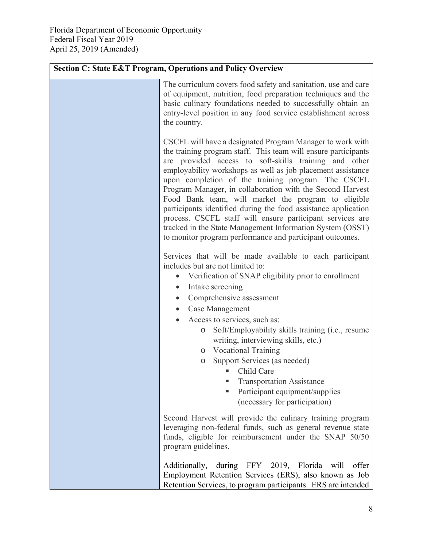| <b>Section C: State E&amp;T Program, Operations and Policy Overview</b> |                                                                                                                                                                                                                                                                                                                                                                                                                                                                                                                                                                                                                                                                                       |  |
|-------------------------------------------------------------------------|---------------------------------------------------------------------------------------------------------------------------------------------------------------------------------------------------------------------------------------------------------------------------------------------------------------------------------------------------------------------------------------------------------------------------------------------------------------------------------------------------------------------------------------------------------------------------------------------------------------------------------------------------------------------------------------|--|
|                                                                         | The curriculum covers food safety and sanitation, use and care<br>of equipment, nutrition, food preparation techniques and the<br>basic culinary foundations needed to successfully obtain an<br>entry-level position in any food service establishment across<br>the country.                                                                                                                                                                                                                                                                                                                                                                                                        |  |
|                                                                         | CSCFL will have a designated Program Manager to work with<br>the training program staff. This team will ensure participants<br>are provided access to soft-skills training and other<br>employability workshops as well as job placement assistance<br>upon completion of the training program. The CSCFL<br>Program Manager, in collaboration with the Second Harvest<br>Food Bank team, will market the program to eligible<br>participants identified during the food assistance application<br>process. CSCFL staff will ensure participant services are<br>tracked in the State Management Information System (OSST)<br>to monitor program performance and participant outcomes. |  |
|                                                                         | Services that will be made available to each participant<br>includes but are not limited to:<br>Verification of SNAP eligibility prior to enrollment<br>Intake screening<br>$\bullet$<br>Comprehensive assessment<br>$\bullet$<br>Case Management<br>Access to services, such as:<br>Soft/Employability skills training (i.e., resume<br>$\circ$<br>writing, interviewing skills, etc.)<br>o Vocational Training<br>Support Services (as needed)<br>$\circ$<br>• Child Care<br><b>Transportation Assistance</b><br>Participant equipment/supplies<br>٠                                                                                                                                |  |
|                                                                         | (necessary for participation)<br>Second Harvest will provide the culinary training program<br>leveraging non-federal funds, such as general revenue state<br>funds, eligible for reimbursement under the SNAP 50/50<br>program guidelines.                                                                                                                                                                                                                                                                                                                                                                                                                                            |  |
|                                                                         | during FFY 2019, Florida will<br>Additionally,<br>offer<br>Employment Retention Services (ERS), also known as Job<br>Retention Services, to program participants. ERS are intended                                                                                                                                                                                                                                                                                                                                                                                                                                                                                                    |  |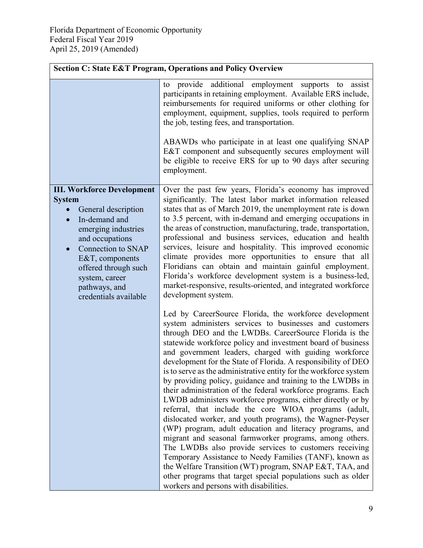| <b>Section C: State E&amp;T Program, Operations and Policy Overview</b>                                                                                                                                                                                                  |                                                                                                                                                                                                                                                                                                                                                                                                                                                                                                                                                                                                                                                                                                                                                                                                                                                                                                                                                                                                                                                                                                                                                                               |  |
|--------------------------------------------------------------------------------------------------------------------------------------------------------------------------------------------------------------------------------------------------------------------------|-------------------------------------------------------------------------------------------------------------------------------------------------------------------------------------------------------------------------------------------------------------------------------------------------------------------------------------------------------------------------------------------------------------------------------------------------------------------------------------------------------------------------------------------------------------------------------------------------------------------------------------------------------------------------------------------------------------------------------------------------------------------------------------------------------------------------------------------------------------------------------------------------------------------------------------------------------------------------------------------------------------------------------------------------------------------------------------------------------------------------------------------------------------------------------|--|
|                                                                                                                                                                                                                                                                          | to provide additional employment supports to<br>assist<br>participants in retaining employment. Available ERS include,<br>reimbursements for required uniforms or other clothing for<br>employment, equipment, supplies, tools required to perform<br>the job, testing fees, and transportation.                                                                                                                                                                                                                                                                                                                                                                                                                                                                                                                                                                                                                                                                                                                                                                                                                                                                              |  |
|                                                                                                                                                                                                                                                                          | ABAWDs who participate in at least one qualifying SNAP<br>E&T component and subsequently secures employment will<br>be eligible to receive ERS for up to 90 days after securing<br>employment.                                                                                                                                                                                                                                                                                                                                                                                                                                                                                                                                                                                                                                                                                                                                                                                                                                                                                                                                                                                |  |
| <b>III. Workforce Development</b><br><b>System</b><br>General description<br>In-demand and<br>emerging industries<br>and occupations<br><b>Connection to SNAP</b><br>E&T, components<br>offered through such<br>system, career<br>pathways, and<br>credentials available | Over the past few years, Florida's economy has improved<br>significantly. The latest labor market information released<br>states that as of March 2019, the unemployment rate is down<br>to 3.5 percent, with in-demand and emerging occupations in<br>the areas of construction, manufacturing, trade, transportation,<br>professional and business services, education and health<br>services, leisure and hospitality. This improved economic<br>climate provides more opportunities to ensure that all<br>Floridians can obtain and maintain gainful employment.<br>Florida's workforce development system is a business-led,<br>market-responsive, results-oriented, and integrated workforce<br>development system.                                                                                                                                                                                                                                                                                                                                                                                                                                                     |  |
|                                                                                                                                                                                                                                                                          | Led by CareerSource Florida, the workforce development<br>system administers services to businesses and customers<br>through DEO and the LWDBs. CareerSource Florida is the<br>statewide workforce policy and investment board of business<br>and government leaders, charged with guiding workforce<br>development for the State of Florida. A responsibility of DEO<br>is to serve as the administrative entity for the workforce system<br>by providing policy, guidance and training to the LWDBs in<br>their administration of the federal workforce programs. Each<br>LWDB administers workforce programs, either directly or by<br>referral, that include the core WIOA programs (adult,<br>dislocated worker, and youth programs), the Wagner-Peyser<br>(WP) program, adult education and literacy programs, and<br>migrant and seasonal farmworker programs, among others.<br>The LWDBs also provide services to customers receiving<br>Temporary Assistance to Needy Families (TANF), known as<br>the Welfare Transition (WT) program, SNAP E&T, TAA, and<br>other programs that target special populations such as older<br>workers and persons with disabilities. |  |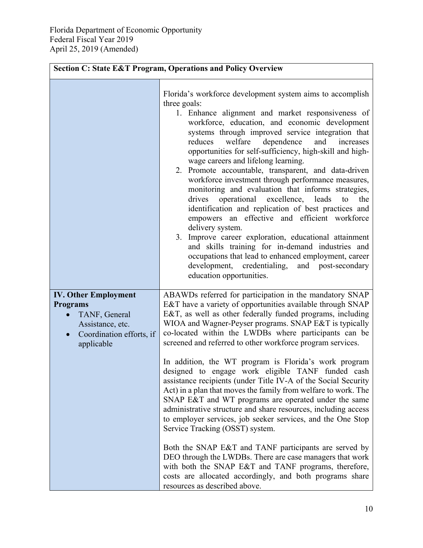| <b>Section C: State E&amp;T Program, Operations and Policy Overview</b>                                                       |                                                                                                                                                                                                                                                                                                                                                                                                                                                                                                                                                                                                                                                                                                                                                                                                                                                                                                                                                                                                                                                                                                                              |  |
|-------------------------------------------------------------------------------------------------------------------------------|------------------------------------------------------------------------------------------------------------------------------------------------------------------------------------------------------------------------------------------------------------------------------------------------------------------------------------------------------------------------------------------------------------------------------------------------------------------------------------------------------------------------------------------------------------------------------------------------------------------------------------------------------------------------------------------------------------------------------------------------------------------------------------------------------------------------------------------------------------------------------------------------------------------------------------------------------------------------------------------------------------------------------------------------------------------------------------------------------------------------------|--|
|                                                                                                                               | Florida's workforce development system aims to accomplish<br>three goals:<br>1. Enhance alignment and market responsiveness of<br>workforce, education, and economic development<br>systems through improved service integration that<br>welfare dependence<br>reduces<br>and<br>increases<br>opportunities for self-sufficiency, high-skill and high-<br>wage careers and lifelong learning.<br>2. Promote accountable, transparent, and data-driven<br>workforce investment through performance measures,<br>monitoring and evaluation that informs strategies,<br>drives<br>operational excellence, leads<br>the<br>to<br>identification and replication of best practices and<br>empowers an effective and efficient workforce<br>delivery system.<br>3. Improve career exploration, educational attainment<br>and skills training for in-demand industries and<br>occupations that lead to enhanced employment, career<br>development, credentialing, and post-secondary<br>education opportunities.                                                                                                                    |  |
| <b>IV. Other Employment</b><br><b>Programs</b><br>TANF, General<br>Assistance, etc.<br>Coordination efforts, if<br>applicable | ABAWDs referred for participation in the mandatory SNAP<br>E&T have a variety of opportunities available through SNAP<br>E&T, as well as other federally funded programs, including<br>WIOA and Wagner-Peyser programs. SNAP E&T is typically<br>co-located within the LWDBs where participants can be<br>screened and referred to other workforce program services.<br>In addition, the WT program is Florida's work program<br>designed to engage work eligible TANF funded cash<br>assistance recipients (under Title IV-A of the Social Security<br>Act) in a plan that moves the family from welfare to work. The<br>SNAP E&T and WT programs are operated under the same<br>administrative structure and share resources, including access<br>to employer services, job seeker services, and the One Stop<br>Service Tracking (OSST) system.<br>Both the SNAP E&T and TANF participants are served by<br>DEO through the LWDBs. There are case managers that work<br>with both the SNAP E&T and TANF programs, therefore,<br>costs are allocated accordingly, and both programs share<br>resources as described above. |  |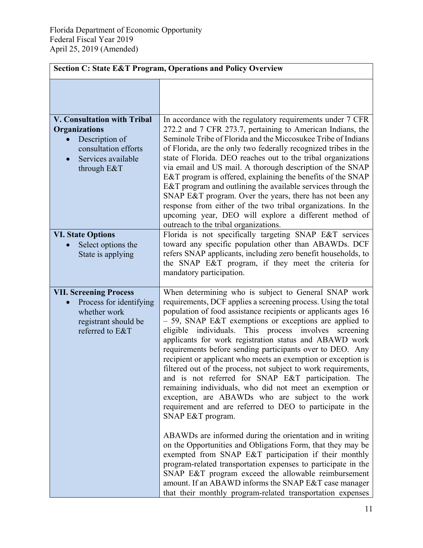| <b>Section C: State E&amp;T Program, Operations and Policy Overview</b>                                                                                                                                  |                                                                                                                                                                                                                                                                                                                                                                                                                                                                                                                                                                                                                                                                                                                                                                                                                                                                                                                                                                                                                                                                                                                                                                                                                                                                       |  |
|----------------------------------------------------------------------------------------------------------------------------------------------------------------------------------------------------------|-----------------------------------------------------------------------------------------------------------------------------------------------------------------------------------------------------------------------------------------------------------------------------------------------------------------------------------------------------------------------------------------------------------------------------------------------------------------------------------------------------------------------------------------------------------------------------------------------------------------------------------------------------------------------------------------------------------------------------------------------------------------------------------------------------------------------------------------------------------------------------------------------------------------------------------------------------------------------------------------------------------------------------------------------------------------------------------------------------------------------------------------------------------------------------------------------------------------------------------------------------------------------|--|
|                                                                                                                                                                                                          |                                                                                                                                                                                                                                                                                                                                                                                                                                                                                                                                                                                                                                                                                                                                                                                                                                                                                                                                                                                                                                                                                                                                                                                                                                                                       |  |
| <b>V. Consultation with Tribal</b><br><b>Organizations</b><br>Description of<br>consultation efforts<br>Services available<br>$\bullet$<br>through E&T<br><b>VI. State Options</b><br>Select options the | In accordance with the regulatory requirements under 7 CFR<br>272.2 and 7 CFR 273.7, pertaining to American Indians, the<br>Seminole Tribe of Florida and the Miccosukee Tribe of Indians<br>of Florida, are the only two federally recognized tribes in the<br>state of Florida. DEO reaches out to the tribal organizations<br>via email and US mail. A thorough description of the SNAP<br>E&T program is offered, explaining the benefits of the SNAP<br>E&T program and outlining the available services through the<br>SNAP E&T program. Over the years, there has not been any<br>response from either of the two tribal organizations. In the<br>upcoming year, DEO will explore a different method of<br>outreach to the tribal organizations.<br>Florida is not specifically targeting SNAP E&T services<br>toward any specific population other than ABAWDs. DCF                                                                                                                                                                                                                                                                                                                                                                                           |  |
| State is applying                                                                                                                                                                                        | refers SNAP applicants, including zero benefit households, to<br>the SNAP E&T program, if they meet the criteria for<br>mandatory participation.                                                                                                                                                                                                                                                                                                                                                                                                                                                                                                                                                                                                                                                                                                                                                                                                                                                                                                                                                                                                                                                                                                                      |  |
| <b>VII. Screening Process</b><br>Process for identifying<br>whether work<br>registrant should be<br>referred to E&T                                                                                      | When determining who is subject to General SNAP work<br>requirements, DCF applies a screening process. Using the total<br>population of food assistance recipients or applicants ages 16<br>- 59, SNAP E&T exemptions or exceptions are applied to<br>eligible individuals. This process involves<br>screening<br>applicants for work registration status and ABAWD work<br>requirements before sending participants over to DEO. Any<br>recipient or applicant who meets an exemption or exception is<br>filtered out of the process, not subject to work requirements,<br>and is not referred for SNAP E&T participation. The<br>remaining individuals, who did not meet an exemption or<br>exception, are ABAWDs who are subject to the work<br>requirement and are referred to DEO to participate in the<br>SNAP E&T program.<br>ABAWDs are informed during the orientation and in writing<br>on the Opportunities and Obligations Form, that they may be<br>exempted from SNAP E&T participation if their monthly<br>program-related transportation expenses to participate in the<br>SNAP E&T program exceed the allowable reimbursement<br>amount. If an ABAWD informs the SNAP E&T case manager<br>that their monthly program-related transportation expenses |  |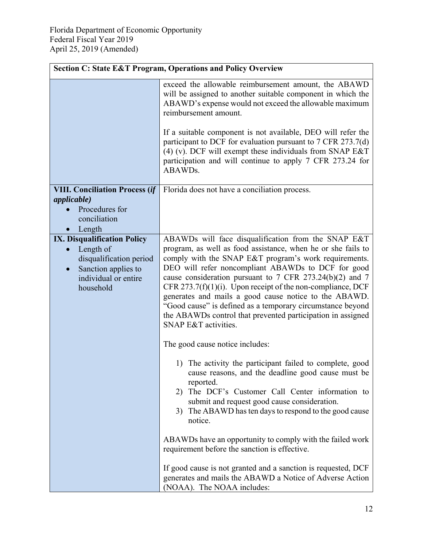|                                                                                                               | <b>Section C: State E&amp;T Program, Operations and Policy Overview</b>                                                                                                                                                                                                                                                                                                                                                                                                                                              |
|---------------------------------------------------------------------------------------------------------------|----------------------------------------------------------------------------------------------------------------------------------------------------------------------------------------------------------------------------------------------------------------------------------------------------------------------------------------------------------------------------------------------------------------------------------------------------------------------------------------------------------------------|
|                                                                                                               | exceed the allowable reimbursement amount, the ABAWD<br>will be assigned to another suitable component in which the<br>ABAWD's expense would not exceed the allowable maximum<br>reimbursement amount.                                                                                                                                                                                                                                                                                                               |
|                                                                                                               | If a suitable component is not available, DEO will refer the<br>participant to DCF for evaluation pursuant to $7$ CFR 273.7(d)<br>(4) (v). DCF will exempt these individuals from SNAP E&T<br>participation and will continue to apply 7 CFR 273.24 for<br>ABAWDs.                                                                                                                                                                                                                                                   |
| <b>VIII. Conciliation Process (if</b>                                                                         | Florida does not have a conciliation process.                                                                                                                                                                                                                                                                                                                                                                                                                                                                        |
| <i>applicable</i> )<br>Procedures for<br>conciliation<br>Length                                               |                                                                                                                                                                                                                                                                                                                                                                                                                                                                                                                      |
| <b>IX. Disqualification Policy</b>                                                                            | ABAWDs will face disqualification from the SNAP E&T                                                                                                                                                                                                                                                                                                                                                                                                                                                                  |
| Length of<br>disqualification period<br>Sanction applies to<br>$\bullet$<br>individual or entire<br>household | program, as well as food assistance, when he or she fails to<br>comply with the SNAP E&T program's work requirements.<br>DEO will refer noncompliant ABAWDs to DCF for good<br>cause consideration pursuant to 7 CFR 273.24(b)(2) and 7<br>CFR 273.7(f)(1)(i). Upon receipt of the non-compliance, DCF<br>generates and mails a good cause notice to the ABAWD.<br>"Good cause" is defined as a temporary circumstance beyond<br>the ABAWDs control that prevented participation in assigned<br>SNAP E&T activities. |
|                                                                                                               | The good cause notice includes:                                                                                                                                                                                                                                                                                                                                                                                                                                                                                      |
|                                                                                                               | 1) The activity the participant failed to complete, good<br>cause reasons, and the deadline good cause must be<br>reported.<br>The DCF's Customer Call Center information to<br>2)<br>submit and request good cause consideration.<br>3) The ABAWD has ten days to respond to the good cause<br>notice.                                                                                                                                                                                                              |
|                                                                                                               | ABAWDs have an opportunity to comply with the failed work<br>requirement before the sanction is effective.                                                                                                                                                                                                                                                                                                                                                                                                           |
|                                                                                                               | If good cause is not granted and a sanction is requested, DCF<br>generates and mails the ABAWD a Notice of Adverse Action<br>(NOAA). The NOAA includes:                                                                                                                                                                                                                                                                                                                                                              |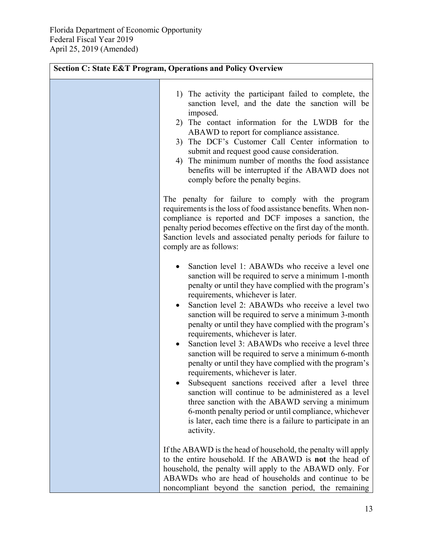| <b>Section C: State E&amp;T Program, Operations and Policy Overview</b>                                                                                                                                                                                                                                                                                                                                                                                                                                                                                                                                                                                                                                                                                                                                                                                                                                                                           |
|---------------------------------------------------------------------------------------------------------------------------------------------------------------------------------------------------------------------------------------------------------------------------------------------------------------------------------------------------------------------------------------------------------------------------------------------------------------------------------------------------------------------------------------------------------------------------------------------------------------------------------------------------------------------------------------------------------------------------------------------------------------------------------------------------------------------------------------------------------------------------------------------------------------------------------------------------|
| 1) The activity the participant failed to complete, the<br>sanction level, and the date the sanction will be<br>imposed.<br>2) The contact information for the LWDB for the<br>ABAWD to report for compliance assistance.<br>The DCF's Customer Call Center information to<br>3)<br>submit and request good cause consideration.<br>The minimum number of months the food assistance<br>4)<br>benefits will be interrupted if the ABAWD does not<br>comply before the penalty begins.                                                                                                                                                                                                                                                                                                                                                                                                                                                             |
| The penalty for failure to comply with the program<br>requirements is the loss of food assistance benefits. When non-<br>compliance is reported and DCF imposes a sanction, the<br>penalty period becomes effective on the first day of the month.<br>Sanction levels and associated penalty periods for failure to<br>comply are as follows:                                                                                                                                                                                                                                                                                                                                                                                                                                                                                                                                                                                                     |
| Sanction level 1: ABAWDs who receive a level one<br>sanction will be required to serve a minimum 1-month<br>penalty or until they have complied with the program's<br>requirements, whichever is later.<br>Sanction level 2: ABAWDs who receive a level two<br>$\bullet$<br>sanction will be required to serve a minimum 3-month<br>penalty or until they have complied with the program's<br>requirements, whichever is later.<br>Sanction level 3: ABAWDs who receive a level three<br>sanction will be required to serve a minimum 6-month<br>penalty or until they have complied with the program's<br>requirements, whichever is later.<br>Subsequent sanctions received after a level three<br>sanction will continue to be administered as a level<br>three sanction with the ABAWD serving a minimum<br>6-month penalty period or until compliance, whichever<br>is later, each time there is a failure to participate in an<br>activity. |
| If the ABAWD is the head of household, the penalty will apply<br>to the entire household. If the ABAWD is not the head of<br>household, the penalty will apply to the ABAWD only. For<br>ABAWDs who are head of households and continue to be<br>noncompliant beyond the sanction period, the remaining                                                                                                                                                                                                                                                                                                                                                                                                                                                                                                                                                                                                                                           |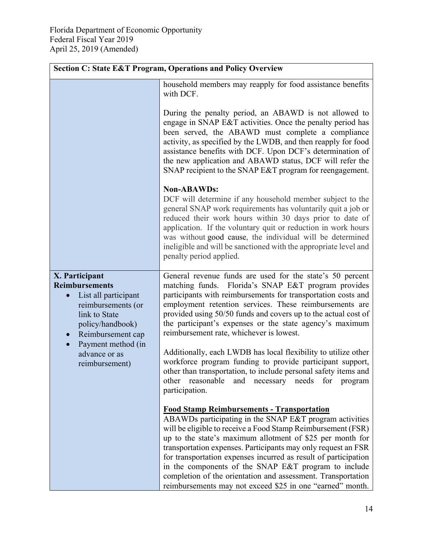|                                                                                                                                                                           | <b>Section C: State E&amp;T Program, Operations and Policy Overview</b>                                                                                                                                                                                                                                                                                                                                                                                                                                                                                            |
|---------------------------------------------------------------------------------------------------------------------------------------------------------------------------|--------------------------------------------------------------------------------------------------------------------------------------------------------------------------------------------------------------------------------------------------------------------------------------------------------------------------------------------------------------------------------------------------------------------------------------------------------------------------------------------------------------------------------------------------------------------|
|                                                                                                                                                                           | household members may reapply for food assistance benefits<br>with DCF.                                                                                                                                                                                                                                                                                                                                                                                                                                                                                            |
|                                                                                                                                                                           | During the penalty period, an ABAWD is not allowed to<br>engage in SNAP E&T activities. Once the penalty period has<br>been served, the ABAWD must complete a compliance<br>activity, as specified by the LWDB, and then reapply for food<br>assistance benefits with DCF. Upon DCF's determination of<br>the new application and ABAWD status, DCF will refer the<br>SNAP recipient to the SNAP E&T program for reengagement.                                                                                                                                     |
|                                                                                                                                                                           | <b>Non-ABAWDs:</b><br>DCF will determine if any household member subject to the<br>general SNAP work requirements has voluntarily quit a job or<br>reduced their work hours within 30 days prior to date of<br>application. If the voluntary quit or reduction in work hours<br>was without good cause, the individual will be determined<br>ineligible and will be sanctioned with the appropriate level and<br>penalty period applied.                                                                                                                           |
| X. Participant<br><b>Reimbursements</b><br>List all participant<br>$\bullet$<br>reimbursements (or<br>link to State<br>policy/handbook)<br>Reimbursement cap<br>$\bullet$ | General revenue funds are used for the state's 50 percent<br>matching funds. Florida's SNAP E&T program provides<br>participants with reimbursements for transportation costs and<br>employment retention services. These reimbursements are<br>provided using 50/50 funds and covers up to the actual cost of<br>the participant's expenses or the state agency's maximum<br>reimbursement rate, whichever is lowest.                                                                                                                                             |
| Payment method (in<br>advance or as<br>reimbursement)                                                                                                                     | Additionally, each LWDB has local flexibility to utilize other<br>workforce program funding to provide participant support,<br>other than transportation, to include personal safety items and<br>other reasonable<br>needs for<br>and necessary<br>program<br>participation.                                                                                                                                                                                                                                                                                      |
|                                                                                                                                                                           | <b>Food Stamp Reimbursements - Transportation</b><br>ABAWDs participating in the SNAP E&T program activities<br>will be eligible to receive a Food Stamp Reimbursement (FSR)<br>up to the state's maximum allotment of \$25 per month for<br>transportation expenses. Participants may only request an FSR<br>for transportation expenses incurred as result of participation<br>in the components of the SNAP E&T program to include<br>completion of the orientation and assessment. Transportation<br>reimbursements may not exceed \$25 in one "earned" month. |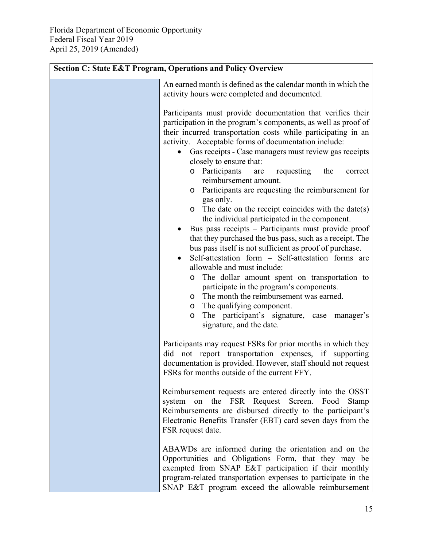| <b>Section C: State E&amp;T Program, Operations and Policy Overview</b> |                                                                                                                                                                                                                                                                                                                                                                                                                                                                                                                                                                                                                                                                                                                                                                                                                                                                                                                                                                                                                                                                                       |  |
|-------------------------------------------------------------------------|---------------------------------------------------------------------------------------------------------------------------------------------------------------------------------------------------------------------------------------------------------------------------------------------------------------------------------------------------------------------------------------------------------------------------------------------------------------------------------------------------------------------------------------------------------------------------------------------------------------------------------------------------------------------------------------------------------------------------------------------------------------------------------------------------------------------------------------------------------------------------------------------------------------------------------------------------------------------------------------------------------------------------------------------------------------------------------------|--|
|                                                                         | An earned month is defined as the calendar month in which the<br>activity hours were completed and documented.                                                                                                                                                                                                                                                                                                                                                                                                                                                                                                                                                                                                                                                                                                                                                                                                                                                                                                                                                                        |  |
|                                                                         | Participants must provide documentation that verifies their<br>participation in the program's components, as well as proof of<br>their incurred transportation costs while participating in an<br>activity. Acceptable forms of documentation include:<br>Gas receipts - Case managers must review gas receipts<br>closely to ensure that:<br>o Participants<br>requesting<br>the<br>are<br>correct<br>reimbursement amount.<br>o Participants are requesting the reimbursement for<br>gas only.<br>The date on the receipt coincides with the date(s)<br>$\circ$<br>the individual participated in the component.<br>Bus pass receipts – Participants must provide proof<br>that they purchased the bus pass, such as a receipt. The<br>bus pass itself is not sufficient as proof of purchase.<br>Self-attestation form - Self-attestation forms are<br>$\bullet$<br>allowable and must include:<br>The dollar amount spent on transportation to<br>O<br>participate in the program's components.<br>The month the reimbursement was earned.<br>O<br>The qualifying component.<br>O |  |
|                                                                         | The participant's signature, case<br>manager's<br>$\circ$<br>signature, and the date.                                                                                                                                                                                                                                                                                                                                                                                                                                                                                                                                                                                                                                                                                                                                                                                                                                                                                                                                                                                                 |  |
|                                                                         | Participants may request FSRs for prior months in which they<br>not report transportation expenses, if supporting<br>did<br>documentation is provided. However, staff should not request<br>FSRs for months outside of the current FFY.                                                                                                                                                                                                                                                                                                                                                                                                                                                                                                                                                                                                                                                                                                                                                                                                                                               |  |
|                                                                         | Reimbursement requests are entered directly into the OSST<br>the FSR Request Screen. Food<br>system<br>on<br>Stamp<br>Reimbursements are disbursed directly to the participant's<br>Electronic Benefits Transfer (EBT) card seven days from the<br>FSR request date.                                                                                                                                                                                                                                                                                                                                                                                                                                                                                                                                                                                                                                                                                                                                                                                                                  |  |
|                                                                         | ABAWDs are informed during the orientation and on the<br>Opportunities and Obligations Form, that they may be<br>exempted from SNAP E&T participation if their monthly<br>program-related transportation expenses to participate in the<br>SNAP E&T program exceed the allowable reimbursement                                                                                                                                                                                                                                                                                                                                                                                                                                                                                                                                                                                                                                                                                                                                                                                        |  |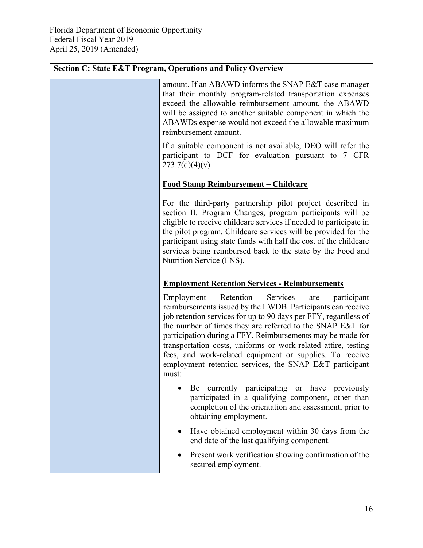$\blacksquare$ 

| <b>Section C: State E&amp;T Program, Operations and Policy Overview</b>                                                                                                                                                                                                                                                                                                                                                                                                                                                  |
|--------------------------------------------------------------------------------------------------------------------------------------------------------------------------------------------------------------------------------------------------------------------------------------------------------------------------------------------------------------------------------------------------------------------------------------------------------------------------------------------------------------------------|
| amount. If an ABAWD informs the SNAP E&T case manager<br>that their monthly program-related transportation expenses<br>exceed the allowable reimbursement amount, the ABAWD<br>will be assigned to another suitable component in which the<br>ABAWDs expense would not exceed the allowable maximum<br>reimbursement amount.                                                                                                                                                                                             |
| If a suitable component is not available, DEO will refer the<br>participant to DCF for evaluation pursuant to 7 CFR<br>$273.7(d)(4)(v)$ .                                                                                                                                                                                                                                                                                                                                                                                |
| <u>Food Stamp Reimbursement – Childcare</u>                                                                                                                                                                                                                                                                                                                                                                                                                                                                              |
| For the third-party partnership pilot project described in<br>section II. Program Changes, program participants will be<br>eligible to receive childcare services if needed to participate in<br>the pilot program. Childcare services will be provided for the<br>participant using state funds with half the cost of the childcare<br>services being reimbursed back to the state by the Food and<br>Nutrition Service (FNS).                                                                                          |
| <b>Employment Retention Services - Reimbursements</b>                                                                                                                                                                                                                                                                                                                                                                                                                                                                    |
| Retention<br>Services<br>Employment<br>participant<br>are<br>reimbursements issued by the LWDB. Participants can receive<br>job retention services for up to 90 days per FFY, regardless of<br>the number of times they are referred to the SNAP E&T for<br>participation during a FFY. Reimbursements may be made for<br>transportation costs, uniforms or work-related attire, testing<br>fees, and work-related equipment or supplies. To receive<br>employment retention services, the SNAP E&T participant<br>must: |
| Be currently participating or have previously<br>participated in a qualifying component, other than<br>completion of the orientation and assessment, prior to<br>obtaining employment.                                                                                                                                                                                                                                                                                                                                   |
| Have obtained employment within 30 days from the<br>end date of the last qualifying component.                                                                                                                                                                                                                                                                                                                                                                                                                           |
| Present work verification showing confirmation of the<br>secured employment.                                                                                                                                                                                                                                                                                                                                                                                                                                             |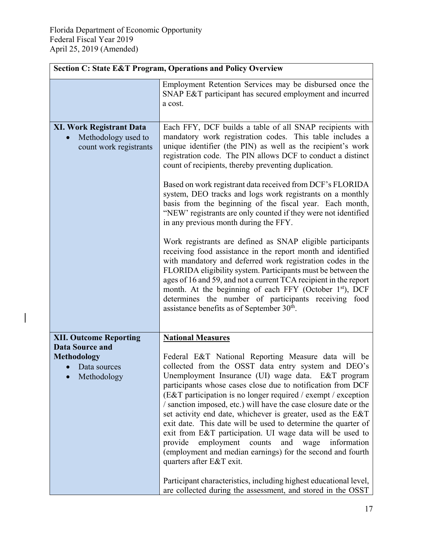$\begin{array}{c} \rule{0pt}{2ex} \rule{0pt}{2ex} \rule{0pt}{2ex} \rule{0pt}{2ex} \rule{0pt}{2ex} \rule{0pt}{2ex} \rule{0pt}{2ex} \rule{0pt}{2ex} \rule{0pt}{2ex} \rule{0pt}{2ex} \rule{0pt}{2ex} \rule{0pt}{2ex} \rule{0pt}{2ex} \rule{0pt}{2ex} \rule{0pt}{2ex} \rule{0pt}{2ex} \rule{0pt}{2ex} \rule{0pt}{2ex} \rule{0pt}{2ex} \rule{0pt}{2ex} \rule{0pt}{2ex} \rule{0pt}{2ex} \rule{0pt}{2ex} \rule{0pt}{$ 

|                                                                                                       | <b>Section C: State E&amp;T Program, Operations and Policy Overview</b>                                                                                                                                                                                                                                                                                                                                                                                                                                                                                                                                                                                                                                                                                                                                                                                                                                                                                                                                                                                                                                                              |
|-------------------------------------------------------------------------------------------------------|--------------------------------------------------------------------------------------------------------------------------------------------------------------------------------------------------------------------------------------------------------------------------------------------------------------------------------------------------------------------------------------------------------------------------------------------------------------------------------------------------------------------------------------------------------------------------------------------------------------------------------------------------------------------------------------------------------------------------------------------------------------------------------------------------------------------------------------------------------------------------------------------------------------------------------------------------------------------------------------------------------------------------------------------------------------------------------------------------------------------------------------|
|                                                                                                       | Employment Retention Services may be disbursed once the<br>SNAP E&T participant has secured employment and incurred<br>a cost.                                                                                                                                                                                                                                                                                                                                                                                                                                                                                                                                                                                                                                                                                                                                                                                                                                                                                                                                                                                                       |
| <b>XI. Work Registrant Data</b><br>Methodology used to<br>$\bullet$<br>count work registrants         | Each FFY, DCF builds a table of all SNAP recipients with<br>mandatory work registration codes. This table includes a<br>unique identifier (the PIN) as well as the recipient's work<br>registration code. The PIN allows DCF to conduct a distinct<br>count of recipients, thereby preventing duplication.<br>Based on work registrant data received from DCF's FLORIDA<br>system, DEO tracks and logs work registrants on a monthly<br>basis from the beginning of the fiscal year. Each month,<br>"NEW" registrants are only counted if they were not identified<br>in any previous month during the FFY.<br>Work registrants are defined as SNAP eligible participants<br>receiving food assistance in the report month and identified<br>with mandatory and deferred work registration codes in the<br>FLORIDA eligibility system. Participants must be between the<br>ages of 16 and 59, and not a current TCA recipient in the report<br>month. At the beginning of each FFY (October 1 <sup>st</sup> ), DCF<br>determines the number of participants receiving food<br>assistance benefits as of September 30 <sup>th</sup> . |
| <b>XII. Outcome Reporting</b><br><b>Data Source and</b><br>Methodology<br>Data sources<br>Methodology | <b>National Measures</b><br>Federal E&T National Reporting Measure data will be<br>collected from the OSST data entry system and DEO's<br>Unemployment Insurance (UI) wage data. E&T program<br>participants whose cases close due to notification from DCF<br>(E&T participation is no longer required / exempt / exception<br>/ sanction imposed, etc.) will have the case closure date or the<br>set activity end date, whichever is greater, used as the E&T<br>exit date. This date will be used to determine the quarter of<br>exit from E&T participation. UI wage data will be used to<br>employment<br>provide<br>counts<br>and<br>information<br>wage<br>(employment and median earnings) for the second and fourth<br>quarters after E&T exit.<br>Participant characteristics, including highest educational level,<br>are collected during the assessment, and stored in the OSST                                                                                                                                                                                                                                        |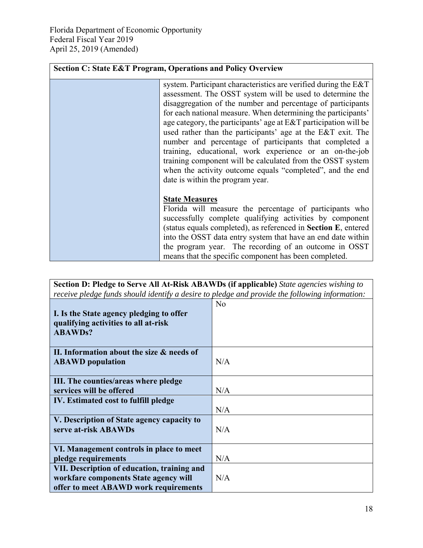| <b>Section C: State E&amp;T Program, Operations and Policy Overview</b>                                                                                                                                                                                                                                                                                                                                                                                                                                                                                                                                                                                                             |
|-------------------------------------------------------------------------------------------------------------------------------------------------------------------------------------------------------------------------------------------------------------------------------------------------------------------------------------------------------------------------------------------------------------------------------------------------------------------------------------------------------------------------------------------------------------------------------------------------------------------------------------------------------------------------------------|
| system. Participant characteristics are verified during the E&T<br>assessment. The OSST system will be used to determine the<br>disaggregation of the number and percentage of participants<br>for each national measure. When determining the participants'<br>age category, the participants' age at E&T participation will be<br>used rather than the participants' age at the E&T exit. The<br>number and percentage of participants that completed a<br>training, educational, work experience or an on-the-job<br>training component will be calculated from the OSST system<br>when the activity outcome equals "completed", and the end<br>date is within the program year. |
| <b>State Measures</b><br>Florida will measure the percentage of participants who<br>successfully complete qualifying activities by component<br>(status equals completed), as referenced in Section E, entered<br>into the OSST data entry system that have an end date within<br>the program year. The recording of an outcome in OSST<br>means that the specific component has been completed.                                                                                                                                                                                                                                                                                    |

| Section D: Pledge to Serve All At-Risk ABAWDs (if applicable) State agencies wishing to<br>receive pledge funds should identify a desire to pledge and provide the following information: |                |
|-------------------------------------------------------------------------------------------------------------------------------------------------------------------------------------------|----------------|
| I. Is the State agency pledging to offer                                                                                                                                                  | N <sub>o</sub> |
| qualifying activities to all at-risk<br><b>ABAWDs?</b>                                                                                                                                    |                |
| II. Information about the size & needs of<br><b>ABAWD</b> population                                                                                                                      | N/A            |
| III. The counties/areas where pledge<br>services will be offered                                                                                                                          | N/A            |
| IV. Estimated cost to fulfill pledge                                                                                                                                                      | N/A            |
| V. Description of State agency capacity to<br>serve at-risk ABAWDs                                                                                                                        | N/A            |
| VI. Management controls in place to meet<br>pledge requirements                                                                                                                           | N/A            |
| VII. Description of education, training and<br>workfare components State agency will<br>offer to meet ABAWD work requirements                                                             | N/A            |

J.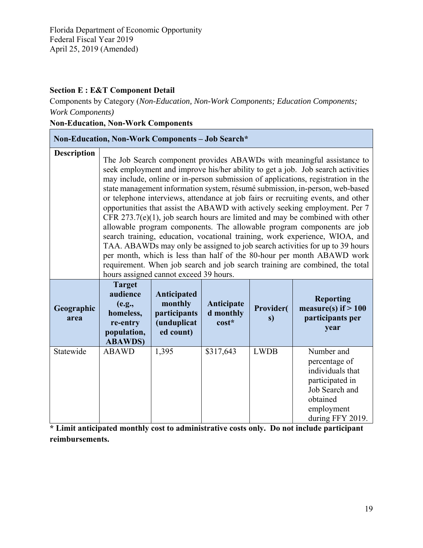### **Section E : E&T Component Detail**

Components by Category (*Non-Education, Non-Work Components; Education Components; Work Components)* 

## **Non-Education, Non-Work Components**

|                    | Non-Education, Non-Work Components - Job Search*                                              |                                                                    |                                  |                        |                                                                                                                                                                                                                                                                                                                                                                                                                                                                                                                                                                                                                                                                                                                                                                                                                                                                                                                                                                                        |
|--------------------|-----------------------------------------------------------------------------------------------|--------------------------------------------------------------------|----------------------------------|------------------------|----------------------------------------------------------------------------------------------------------------------------------------------------------------------------------------------------------------------------------------------------------------------------------------------------------------------------------------------------------------------------------------------------------------------------------------------------------------------------------------------------------------------------------------------------------------------------------------------------------------------------------------------------------------------------------------------------------------------------------------------------------------------------------------------------------------------------------------------------------------------------------------------------------------------------------------------------------------------------------------|
| <b>Description</b> |                                                                                               | hours assigned cannot exceed 39 hours.                             |                                  |                        | The Job Search component provides ABAWDs with meaningful assistance to<br>seek employment and improve his/her ability to get a job. Job search activities<br>may include, online or in-person submission of applications, registration in the<br>state management information system, résumé submission, in-person, web-based<br>or telephone interviews, attendance at job fairs or recruiting events, and other<br>opportunities that assist the ABAWD with actively seeking employment. Per 7<br>CFR $273.7(e)(1)$ , job search hours are limited and may be combined with other<br>allowable program components. The allowable program components are job<br>search training, education, vocational training, work experience, WIOA, and<br>TAA. ABAWDs may only be assigned to job search activities for up to 39 hours<br>per month, which is less than half of the 80-hour per month ABAWD work<br>requirement. When job search and job search training are combined, the total |
| Geographic<br>area | <b>Target</b><br>audience<br>(e.g.,<br>homeless,<br>re-entry<br>population,<br><b>ABAWDS)</b> | Anticipated<br>monthly<br>participants<br>(unduplicat<br>ed count) | Anticipate<br>d monthly<br>cost* | <b>Provider(</b><br>s) | <b>Reporting</b><br>measure(s) if $> 100$<br>participants per<br>year                                                                                                                                                                                                                                                                                                                                                                                                                                                                                                                                                                                                                                                                                                                                                                                                                                                                                                                  |
| Statewide          | <b>ABAWD</b>                                                                                  | 1,395                                                              | \$317,643                        | <b>LWDB</b>            | Number and<br>percentage of<br>individuals that<br>participated in<br>Job Search and<br>obtained<br>employment<br>during FFY 2019.                                                                                                                                                                                                                                                                                                                                                                                                                                                                                                                                                                                                                                                                                                                                                                                                                                                     |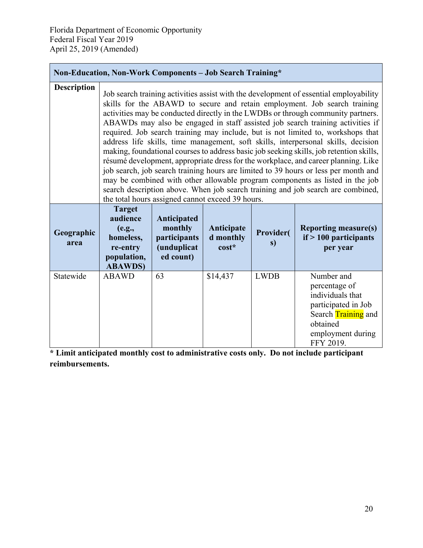**Non-Education, Non-Work Components – Job Search Training\*** 

|                    | Non-Education, Non-Work Components – Job Search Training*                                                                                                                                                                                                                                                                                                                                                                                                                                                                                                                                                                                                                                                                                                                                                                                                                                                                                                                                                        |                                                                    |                                    |                        |                                                                                                                                                    |
|--------------------|------------------------------------------------------------------------------------------------------------------------------------------------------------------------------------------------------------------------------------------------------------------------------------------------------------------------------------------------------------------------------------------------------------------------------------------------------------------------------------------------------------------------------------------------------------------------------------------------------------------------------------------------------------------------------------------------------------------------------------------------------------------------------------------------------------------------------------------------------------------------------------------------------------------------------------------------------------------------------------------------------------------|--------------------------------------------------------------------|------------------------------------|------------------------|----------------------------------------------------------------------------------------------------------------------------------------------------|
| <b>Description</b> | Job search training activities assist with the development of essential employability<br>skills for the ABAWD to secure and retain employment. Job search training<br>activities may be conducted directly in the LWDBs or through community partners.<br>ABAWDs may also be engaged in staff assisted job search training activities if<br>required. Job search training may include, but is not limited to, workshops that<br>address life skills, time management, soft skills, interpersonal skills, decision<br>making, foundational courses to address basic job seeking skills, job retention skills,<br>résumé development, appropriate dress for the workplace, and career planning. Like<br>job search, job search training hours are limited to 39 hours or less per month and<br>may be combined with other allowable program components as listed in the job<br>search description above. When job search training and job search are combined,<br>the total hours assigned cannot exceed 39 hours. |                                                                    |                                    |                        |                                                                                                                                                    |
| Geographic<br>area | <b>Target</b><br>audience<br>(e.g.,<br>homeless,<br>re-entry<br>population,<br><b>ABAWDS)</b>                                                                                                                                                                                                                                                                                                                                                                                                                                                                                                                                                                                                                                                                                                                                                                                                                                                                                                                    | Anticipated<br>monthly<br>participants<br>(unduplicat<br>ed count) | Anticipate<br>d monthly<br>$cost*$ | <b>Provider(</b><br>s) | <b>Reporting measure(s)</b><br>$if > 100$ participants<br>per year                                                                                 |
| Statewide          | <b>ABAWD</b>                                                                                                                                                                                                                                                                                                                                                                                                                                                                                                                                                                                                                                                                                                                                                                                                                                                                                                                                                                                                     | 63                                                                 | \$14,437                           | <b>LWDB</b>            | Number and<br>percentage of<br>individuals that<br>participated in Job<br>Search <b>Training</b> and<br>obtained<br>employment during<br>FFY 2019. |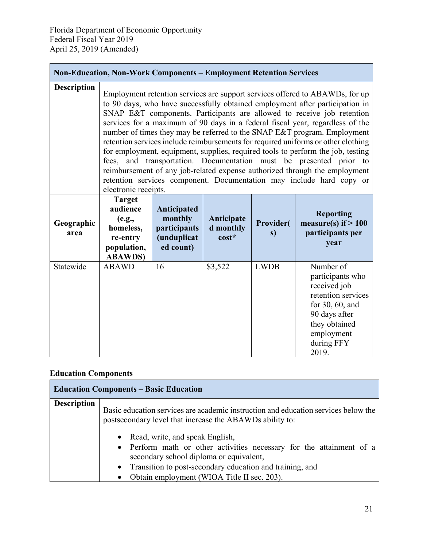| <b>Non-Education, Non-Work Components - Employment Retention Services</b> |                                                                                               |                                                                    |                                  |                         |                                                                                                                                                                                                                                                                                                                                                                                                                                                                                                                                                                                                                                                                                                                                                                                                         |
|---------------------------------------------------------------------------|-----------------------------------------------------------------------------------------------|--------------------------------------------------------------------|----------------------------------|-------------------------|---------------------------------------------------------------------------------------------------------------------------------------------------------------------------------------------------------------------------------------------------------------------------------------------------------------------------------------------------------------------------------------------------------------------------------------------------------------------------------------------------------------------------------------------------------------------------------------------------------------------------------------------------------------------------------------------------------------------------------------------------------------------------------------------------------|
| Description                                                               | electronic receipts.                                                                          |                                                                    |                                  |                         | Employment retention services are support services offered to ABAWDs, for up<br>to 90 days, who have successfully obtained employment after participation in<br>SNAP E&T components. Participants are allowed to receive job retention<br>services for a maximum of 90 days in a federal fiscal year, regardless of the<br>number of times they may be referred to the SNAP E&T program. Employment<br>retention services include reimbursements for required uniforms or other clothing<br>for employment, equipment, supplies, required tools to perform the job, testing<br>fees, and transportation. Documentation must be presented prior to<br>reimbursement of any job-related expense authorized through the employment<br>retention services component. Documentation may include hard copy or |
| Geographic<br>area                                                        | <b>Target</b><br>audience<br>(e.g.,<br>homeless,<br>re-entry<br>population,<br><b>ABAWDS)</b> | Anticipated<br>monthly<br>participants<br>(unduplicat<br>ed count) | Anticipate<br>d monthly<br>cost* | <b>Provider</b> (<br>s) | <b>Reporting</b><br>measure(s) if $> 100$<br>participants per<br>year                                                                                                                                                                                                                                                                                                                                                                                                                                                                                                                                                                                                                                                                                                                                   |
| Statewide                                                                 | <b>ABAWD</b>                                                                                  | 16                                                                 | \$3,522                          | <b>LWDB</b>             | Number of<br>participants who<br>received job<br>retention services<br>for 30, 60, and<br>90 days after<br>they obtained<br>employment<br>during FFY<br>2019.                                                                                                                                                                                                                                                                                                                                                                                                                                                                                                                                                                                                                                           |

# **Education Components**

|                    | <b>Education Components - Basic Education</b>                                                                                                                                                                                                                                  |
|--------------------|--------------------------------------------------------------------------------------------------------------------------------------------------------------------------------------------------------------------------------------------------------------------------------|
| <b>Description</b> | Basic education services are academic instruction and education services below the<br>postsecondary level that increase the ABAWDs ability to:                                                                                                                                 |
|                    | • Read, write, and speak English,<br>• Perform math or other activities necessary for the attainment of a<br>secondary school diploma or equivalent,<br>• Transition to post-secondary education and training, and<br>Obtain employment (WIOA Title II sec. 203).<br>$\bullet$ |

٦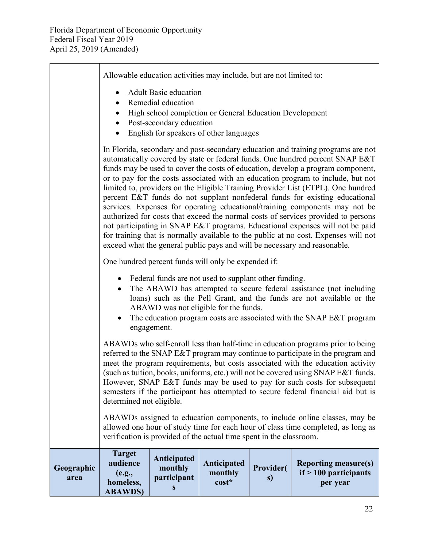| Geographic<br>area | <b>Target</b><br>audience<br>(e.g.,<br>homeless,<br><b>ABAWDS)</b>                                                                                                                                                                                                                                                                                                                                                                                                                                                                                                                                                                                                                                                                                                                                                                                                                                                                   | Anticipated<br>monthly<br>participant<br>S | Anticipated<br>monthly<br>cost* | <b>Provider(</b><br>s) | <b>Reporting measure(s)</b><br>$if > 100$ participants<br>per year |  |
|--------------------|--------------------------------------------------------------------------------------------------------------------------------------------------------------------------------------------------------------------------------------------------------------------------------------------------------------------------------------------------------------------------------------------------------------------------------------------------------------------------------------------------------------------------------------------------------------------------------------------------------------------------------------------------------------------------------------------------------------------------------------------------------------------------------------------------------------------------------------------------------------------------------------------------------------------------------------|--------------------------------------------|---------------------------------|------------------------|--------------------------------------------------------------------|--|
|                    | ABAWDs assigned to education components, to include online classes, may be<br>allowed one hour of study time for each hour of class time completed, as long as<br>verification is provided of the actual time spent in the classroom.                                                                                                                                                                                                                                                                                                                                                                                                                                                                                                                                                                                                                                                                                                |                                            |                                 |                        |                                                                    |  |
|                    | ABAWDs who self-enroll less than half-time in education programs prior to being<br>referred to the SNAP E&T program may continue to participate in the program and<br>meet the program requirements, but costs associated with the education activity<br>(such as tuition, books, uniforms, etc.) will not be covered using SNAP E&T funds.<br>However, SNAP E&T funds may be used to pay for such costs for subsequent<br>semesters if the participant has attempted to secure federal financial aid but is<br>determined not eligible.                                                                                                                                                                                                                                                                                                                                                                                             |                                            |                                 |                        |                                                                    |  |
|                    | One hundred percent funds will only be expended if:<br>Federal funds are not used to supplant other funding.<br>$\bullet$<br>The ABAWD has attempted to secure federal assistance (not including<br>$\bullet$<br>loans) such as the Pell Grant, and the funds are not available or the<br>ABAWD was not eligible for the funds.<br>The education program costs are associated with the SNAP E&T program<br>$\bullet$<br>engagement.                                                                                                                                                                                                                                                                                                                                                                                                                                                                                                  |                                            |                                 |                        |                                                                    |  |
|                    | In Florida, secondary and post-secondary education and training programs are not<br>automatically covered by state or federal funds. One hundred percent SNAP E&T<br>funds may be used to cover the costs of education, develop a program component,<br>or to pay for the costs associated with an education program to include, but not<br>limited to, providers on the Eligible Training Provider List (ETPL). One hundred<br>percent E&T funds do not supplant nonfederal funds for existing educational<br>services. Expenses for operating educational/training components may not be<br>authorized for costs that exceed the normal costs of services provided to persons<br>not participating in SNAP E&T programs. Educational expenses will not be paid<br>for training that is normally available to the public at no cost. Expenses will not<br>exceed what the general public pays and will be necessary and reasonable. |                                            |                                 |                        |                                                                    |  |
|                    | Allowable education activities may include, but are not limited to:<br><b>Adult Basic education</b><br>Remedial education<br>High school completion or General Education Development<br>Post-secondary education<br>English for speakers of other languages                                                                                                                                                                                                                                                                                                                                                                                                                                                                                                                                                                                                                                                                          |                                            |                                 |                        |                                                                    |  |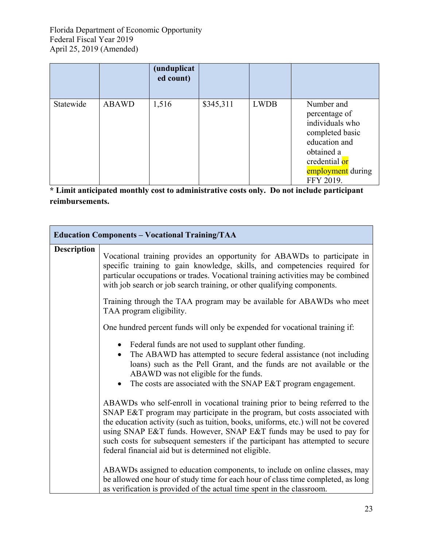|           |              | (unduplicat<br>ed count) |           |             |                                                                                                                                                     |
|-----------|--------------|--------------------------|-----------|-------------|-----------------------------------------------------------------------------------------------------------------------------------------------------|
| Statewide | <b>ABAWD</b> | 1,516                    | \$345,311 | <b>LWDB</b> | Number and<br>percentage of<br>individuals who<br>completed basic<br>education and<br>obtained a<br>credential or<br>employment during<br>FFY 2019. |

|                    | <b>Education Components - Vocational Training/TAA</b>                                                                                                                                                                                                                                                                                                                                                                                                                |
|--------------------|----------------------------------------------------------------------------------------------------------------------------------------------------------------------------------------------------------------------------------------------------------------------------------------------------------------------------------------------------------------------------------------------------------------------------------------------------------------------|
| <b>Description</b> | Vocational training provides an opportunity for ABAWDs to participate in<br>specific training to gain knowledge, skills, and competencies required for<br>particular occupations or trades. Vocational training activities may be combined<br>with job search or job search training, or other qualifying components.                                                                                                                                                |
|                    | Training through the TAA program may be available for ABAWDs who meet<br>TAA program eligibility.                                                                                                                                                                                                                                                                                                                                                                    |
|                    | One hundred percent funds will only be expended for vocational training if:                                                                                                                                                                                                                                                                                                                                                                                          |
|                    | Federal funds are not used to supplant other funding.<br>The ABAWD has attempted to secure federal assistance (not including<br>$\bullet$<br>loans) such as the Pell Grant, and the funds are not available or the<br>ABAWD was not eligible for the funds.<br>The costs are associated with the SNAP E&T program engagement.                                                                                                                                        |
|                    | ABAWDs who self-enroll in vocational training prior to being referred to the<br>SNAP E&T program may participate in the program, but costs associated with<br>the education activity (such as tuition, books, uniforms, etc.) will not be covered<br>using SNAP E&T funds. However, SNAP E&T funds may be used to pay for<br>such costs for subsequent semesters if the participant has attempted to secure<br>federal financial aid but is determined not eligible. |
|                    | ABAWDs assigned to education components, to include on online classes, may<br>be allowed one hour of study time for each hour of class time completed, as long<br>as verification is provided of the actual time spent in the classroom.                                                                                                                                                                                                                             |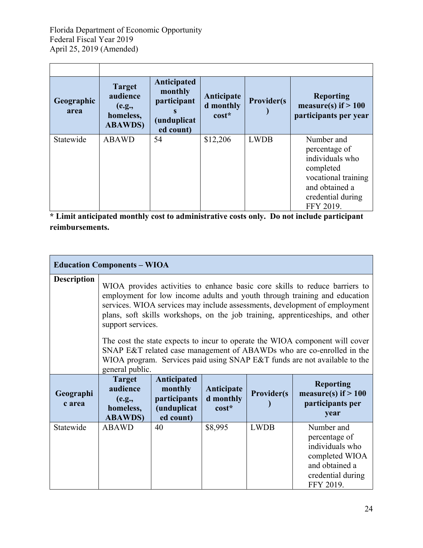| <b>Target</b><br>audience<br>(e.g.,<br>homeless,<br><b>ABAWDS</b> ) | Anticipated<br>monthly<br>participant<br><i>(unduplicat</i><br>ed count) | Anticipate<br>d monthly<br>$cost*$ | <b>Provider(s)</b> | <b>Reporting</b><br>measure(s) if $> 100$<br>participants per year |
|---------------------------------------------------------------------|--------------------------------------------------------------------------|------------------------------------|--------------------|--------------------------------------------------------------------|
| <b>ABAWD</b>                                                        | 54                                                                       | \$12,206                           | <b>LWDB</b>        | Number and                                                         |
|                                                                     |                                                                          |                                    |                    | percentage of<br>individuals who                                   |
|                                                                     |                                                                          |                                    |                    | completed                                                          |
|                                                                     |                                                                          |                                    |                    | vocational training                                                |
|                                                                     |                                                                          |                                    |                    | and obtained a                                                     |
|                                                                     |                                                                          |                                    |                    | credential during<br>FFY 2019.                                     |
|                                                                     |                                                                          |                                    |                    |                                                                    |

**\* Limit anticipated monthly cost to administrative costs only. Do not include participant reimbursements.** 

|                     | <b>Education Components - WIOA</b>                                                                                                                                                                                                                                                                                                           |                                                                    |                                    |                    |                                                                       |
|---------------------|----------------------------------------------------------------------------------------------------------------------------------------------------------------------------------------------------------------------------------------------------------------------------------------------------------------------------------------------|--------------------------------------------------------------------|------------------------------------|--------------------|-----------------------------------------------------------------------|
| <b>Description</b>  | WIOA provides activities to enhance basic core skills to reduce barriers to<br>employment for low income adults and youth through training and education<br>services. WIOA services may include assessments, development of employment<br>plans, soft skills workshops, on the job training, apprenticeships, and other<br>support services. |                                                                    |                                    |                    |                                                                       |
|                     | The cost the state expects to incur to operate the WIOA component will cover<br>SNAP E&T related case management of ABAWDs who are co-enrolled in the<br>WIOA program. Services paid using SNAP E&T funds are not available to the<br>general public.                                                                                        |                                                                    |                                    |                    |                                                                       |
|                     |                                                                                                                                                                                                                                                                                                                                              |                                                                    |                                    |                    |                                                                       |
| Geographi<br>c area | <b>Target</b><br>audience<br>(e.g.,<br>homeless,<br><b>ABAWDS)</b>                                                                                                                                                                                                                                                                           | Anticipated<br>monthly<br>participants<br>(unduplicat<br>ed count) | Anticipate<br>d monthly<br>$cost*$ | <b>Provider(s)</b> | <b>Reporting</b><br>measure(s) if $> 100$<br>participants per<br>year |

 $\overline{\phantom{a}}$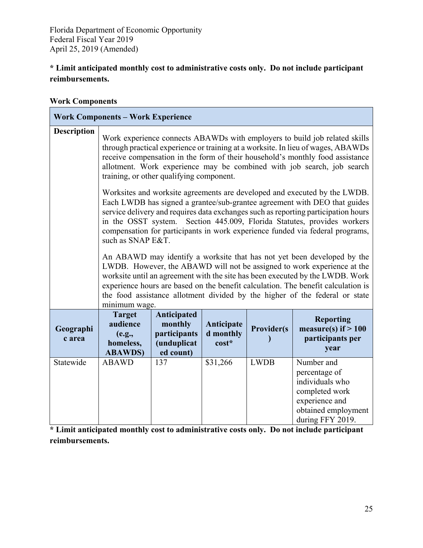## **\* Limit anticipated monthly cost to administrative costs only. Do not include participant reimbursements.**

#### **Work Components**

|                     | <b>Work Components - Work Experience</b>                                                                                                                                                                                                                                                                                                                                                                                      |                                                                    |                                    |                    |                                                                                                                               |  |
|---------------------|-------------------------------------------------------------------------------------------------------------------------------------------------------------------------------------------------------------------------------------------------------------------------------------------------------------------------------------------------------------------------------------------------------------------------------|--------------------------------------------------------------------|------------------------------------|--------------------|-------------------------------------------------------------------------------------------------------------------------------|--|
| <b>Description</b>  | Work experience connects ABAWDs with employers to build job related skills<br>through practical experience or training at a worksite. In lieu of wages, ABAWDs<br>receive compensation in the form of their household's monthly food assistance<br>allotment. Work experience may be combined with job search, job search<br>training, or other qualifying component.                                                         |                                                                    |                                    |                    |                                                                                                                               |  |
|                     | Worksites and worksite agreements are developed and executed by the LWDB.<br>Each LWDB has signed a grantee/sub-grantee agreement with DEO that guides<br>service delivery and requires data exchanges such as reporting participation hours<br>in the OSST system. Section 445.009, Florida Statutes, provides workers<br>compensation for participants in work experience funded via federal programs,<br>such as SNAP E&T. |                                                                    |                                    |                    |                                                                                                                               |  |
|                     | An ABAWD may identify a worksite that has not yet been developed by the<br>LWDB. However, the ABAWD will not be assigned to work experience at the<br>worksite until an agreement with the site has been executed by the LWDB. Work<br>experience hours are based on the benefit calculation. The benefit calculation is<br>the food assistance allotment divided by the higher of the federal or state<br>minimum wage.      |                                                                    |                                    |                    |                                                                                                                               |  |
| Geographi<br>c area | <b>Target</b><br>audience<br>(e.g.,<br>homeless,<br><b>ABAWDS)</b>                                                                                                                                                                                                                                                                                                                                                            | Anticipated<br>monthly<br>participants<br>(unduplicat<br>ed count) | Anticipate<br>d monthly<br>$cost*$ | <b>Provider(s)</b> | <b>Reporting</b><br>measure(s) if $> 100$<br>participants per<br>year                                                         |  |
| Statewide           | <b>ABAWD</b>                                                                                                                                                                                                                                                                                                                                                                                                                  | 137                                                                | \$31,266                           | <b>LWDB</b>        | Number and<br>percentage of<br>individuals who<br>completed work<br>experience and<br>obtained employment<br>during FFY 2019. |  |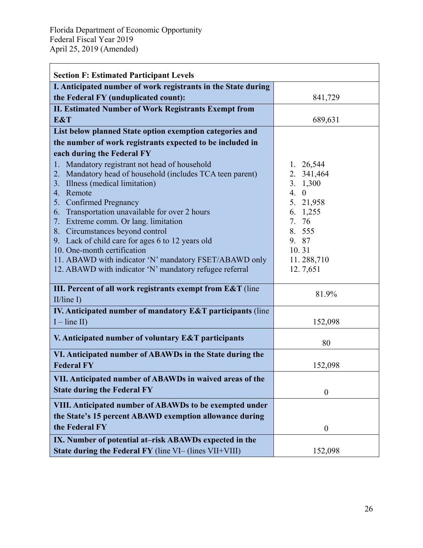| <b>Section F: Estimated Participant Levels</b>                                                                                                                                                                                                                                                                                                                                                                                                                                                                                     |                                                                                                                                   |
|------------------------------------------------------------------------------------------------------------------------------------------------------------------------------------------------------------------------------------------------------------------------------------------------------------------------------------------------------------------------------------------------------------------------------------------------------------------------------------------------------------------------------------|-----------------------------------------------------------------------------------------------------------------------------------|
| I. Anticipated number of work registrants in the State during                                                                                                                                                                                                                                                                                                                                                                                                                                                                      |                                                                                                                                   |
| the Federal FY (unduplicated count):                                                                                                                                                                                                                                                                                                                                                                                                                                                                                               | 841,729                                                                                                                           |
| <b>II. Estimated Number of Work Registrants Exempt from</b>                                                                                                                                                                                                                                                                                                                                                                                                                                                                        |                                                                                                                                   |
| E&T                                                                                                                                                                                                                                                                                                                                                                                                                                                                                                                                | 689,631                                                                                                                           |
| List below planned State option exemption categories and                                                                                                                                                                                                                                                                                                                                                                                                                                                                           |                                                                                                                                   |
| the number of work registrants expected to be included in                                                                                                                                                                                                                                                                                                                                                                                                                                                                          |                                                                                                                                   |
| each during the Federal FY                                                                                                                                                                                                                                                                                                                                                                                                                                                                                                         |                                                                                                                                   |
| 1. Mandatory registrant not head of household<br>Mandatory head of household (includes TCA teen parent)<br>2.<br>Illness (medical limitation)<br>3.<br>Remote<br>4.<br>5. Confirmed Pregnancy<br>6. Transportation unavailable for over 2 hours<br>7. Extreme comm. Or lang. limitation<br>8. Circumstances beyond control<br>9. Lack of child care for ages 6 to 12 years old<br>10. One-month certification<br>11. ABAWD with indicator 'N' mandatory FSET/ABAWD only<br>12. ABAWD with indicator 'N' mandatory refugee referral | 1. 26,544<br>2. 341,464<br>3.1,300<br>4.0<br>5. 21,958<br>6. 1,255<br>7. 76<br>8. 555<br>9. 87<br>10.31<br>11.288,710<br>12.7,651 |
| III. Percent of all work registrants exempt from E&T (line<br>$II$ /line I)                                                                                                                                                                                                                                                                                                                                                                                                                                                        | 81.9%                                                                                                                             |
| IV. Anticipated number of mandatory E&T participants (line<br>$I - line II$                                                                                                                                                                                                                                                                                                                                                                                                                                                        | 152,098                                                                                                                           |
| V. Anticipated number of voluntary E&T participants                                                                                                                                                                                                                                                                                                                                                                                                                                                                                | 80                                                                                                                                |
| VI. Anticipated number of ABAWDs in the State during the<br><b>Federal FY</b>                                                                                                                                                                                                                                                                                                                                                                                                                                                      | 152,098                                                                                                                           |
| VII. Anticipated number of ABAWDs in waived areas of the<br><b>State during the Federal FY</b>                                                                                                                                                                                                                                                                                                                                                                                                                                     | $\boldsymbol{0}$                                                                                                                  |
| VIII. Anticipated number of ABAWDs to be exempted under<br>the State's 15 percent ABAWD exemption allowance during                                                                                                                                                                                                                                                                                                                                                                                                                 |                                                                                                                                   |
| the Federal FY                                                                                                                                                                                                                                                                                                                                                                                                                                                                                                                     | $\boldsymbol{0}$                                                                                                                  |
| IX. Number of potential at-risk ABAWDs expected in the                                                                                                                                                                                                                                                                                                                                                                                                                                                                             |                                                                                                                                   |
| State during the Federal FY (line VI- (lines VII+VIII)                                                                                                                                                                                                                                                                                                                                                                                                                                                                             | 152,098                                                                                                                           |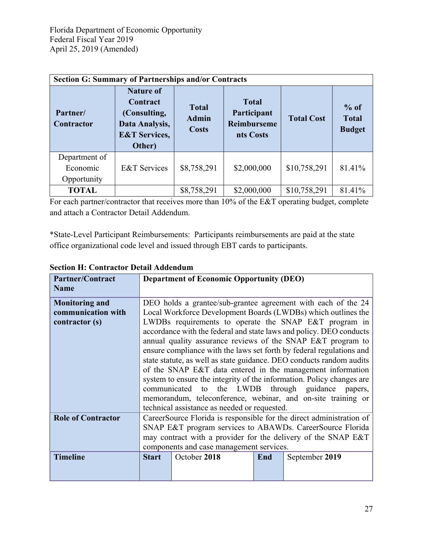| <b>Section G: Summary of Partnerships and/or Contracts</b> |                                                                                                      |                                              |                                                                |                   |                                         |
|------------------------------------------------------------|------------------------------------------------------------------------------------------------------|----------------------------------------------|----------------------------------------------------------------|-------------------|-----------------------------------------|
| Partner/<br><b>Contractor</b>                              | <b>Nature of</b><br>Contract<br>(Consulting,<br>Data Analysis,<br><b>E&amp;T Services,</b><br>Other) | <b>Total</b><br><b>Admin</b><br><b>Costs</b> | <b>Total</b><br>Participant<br><b>Reimburseme</b><br>nts Costs | <b>Total Cost</b> | $%$ of<br><b>Total</b><br><b>Budget</b> |
| Department of<br>Economic<br>Opportunity                   | <b>E&amp;T</b> Services                                                                              | \$8,758,291                                  | \$2,000,000                                                    | \$10,758,291      | 81.41%                                  |
| <b>TOTAL</b>                                               |                                                                                                      | \$8,758,291                                  | \$2,000,000                                                    | \$10,758,291      | 81.41%                                  |

For each partner/contractor that receives more than 10% of the E&T operating budget, complete and attach a Contractor Detail Addendum.

\*State-Level Participant Reimbursements: Participants reimbursements are paid at the state office organizational code level and issued through EBT cards to participants.

| Partner/Contract          |                                                                       | <b>Department of Economic Opportunity (DEO)</b> |     |                                                                      |  |  |
|---------------------------|-----------------------------------------------------------------------|-------------------------------------------------|-----|----------------------------------------------------------------------|--|--|
| <b>Name</b>               |                                                                       |                                                 |     |                                                                      |  |  |
| <b>Monitoring and</b>     |                                                                       |                                                 |     | DEO holds a grantee/sub-grantee agreement with each of the 24        |  |  |
| communication with        |                                                                       |                                                 |     | Local Workforce Development Boards (LWDBs) which outlines the        |  |  |
| contractor (s)            |                                                                       |                                                 |     | LWDBs requirements to operate the SNAP E&T program in                |  |  |
|                           |                                                                       |                                                 |     | accordance with the federal and state laws and policy. DEO conducts  |  |  |
|                           |                                                                       |                                                 |     | annual quality assurance reviews of the SNAP E&T program to          |  |  |
|                           |                                                                       |                                                 |     | ensure compliance with the laws set forth by federal regulations and |  |  |
|                           |                                                                       |                                                 |     | state statute, as well as state guidance. DEO conducts random audits |  |  |
|                           | of the SNAP E&T data entered in the management information            |                                                 |     |                                                                      |  |  |
|                           | system to ensure the integrity of the information. Policy changes are |                                                 |     |                                                                      |  |  |
|                           | the LWDB through guidance papers,<br>communicated to                  |                                                 |     |                                                                      |  |  |
|                           | memorandum, teleconference, webinar, and on-site training or          |                                                 |     |                                                                      |  |  |
|                           | technical assistance as needed or requested.                          |                                                 |     |                                                                      |  |  |
| <b>Role of Contractor</b> | CareerSource Florida is responsible for the direct administration of  |                                                 |     |                                                                      |  |  |
|                           | SNAP E&T program services to ABAWDs. CareerSource Florida             |                                                 |     |                                                                      |  |  |
|                           | may contract with a provider for the delivery of the SNAP E&T         |                                                 |     |                                                                      |  |  |
|                           | components and case management services.                              |                                                 |     |                                                                      |  |  |
| <b>Timeline</b>           | <b>Start</b>                                                          | October 2018                                    | End | September 2019                                                       |  |  |
|                           |                                                                       |                                                 |     |                                                                      |  |  |
|                           |                                                                       |                                                 |     |                                                                      |  |  |

## **Section H: Contractor Detail Addendum**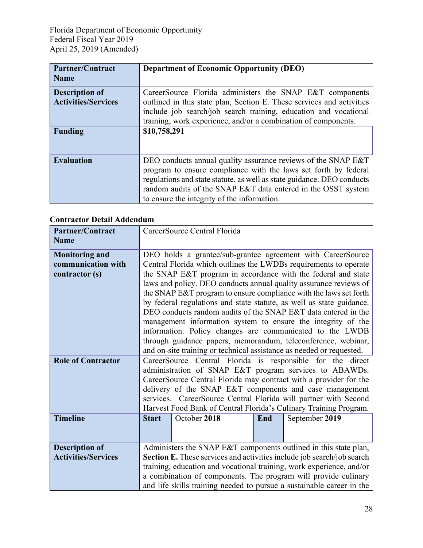| <b>Partner/Contract</b>                             | <b>Department of Economic Opportunity (DEO)</b>                                                                                                                                                                                                                                                                            |
|-----------------------------------------------------|----------------------------------------------------------------------------------------------------------------------------------------------------------------------------------------------------------------------------------------------------------------------------------------------------------------------------|
| <b>Name</b>                                         |                                                                                                                                                                                                                                                                                                                            |
| <b>Description of</b><br><b>Activities/Services</b> | CareerSource Florida administers the SNAP E&T components<br>outlined in this state plan, Section E. These services and activities<br>include job search/job search training, education and vocational<br>training, work experience, and/or a combination of components.                                                    |
| <b>Funding</b>                                      | \$10,758,291                                                                                                                                                                                                                                                                                                               |
| <b>Evaluation</b>                                   | DEO conducts annual quality assurance reviews of the SNAP E&T<br>program to ensure compliance with the laws set forth by federal<br>regulations and state statute, as well as state guidance. DEO conducts<br>random audits of the SNAP E&T data entered in the OSST system<br>to ensure the integrity of the information. |

# **Contractor Detail Addendum**

| <b>Partner/Contract</b>    |                                                                                                                             | CareerSource Central Florida                                         |     |                                                                       |  |  |
|----------------------------|-----------------------------------------------------------------------------------------------------------------------------|----------------------------------------------------------------------|-----|-----------------------------------------------------------------------|--|--|
| <b>Name</b>                |                                                                                                                             |                                                                      |     |                                                                       |  |  |
| <b>Monitoring and</b>      |                                                                                                                             |                                                                      |     | DEO holds a grantee/sub-grantee agreement with CareerSource           |  |  |
| communication with         |                                                                                                                             |                                                                      |     | Central Florida which outlines the LWDBs requirements to operate      |  |  |
| contractor (s)             |                                                                                                                             |                                                                      |     | the SNAP E&T program in accordance with the federal and state         |  |  |
|                            |                                                                                                                             |                                                                      |     | laws and policy. DEO conducts annual quality assurance reviews of     |  |  |
|                            |                                                                                                                             |                                                                      |     | the SNAP E&T program to ensure compliance with the laws set forth     |  |  |
|                            |                                                                                                                             |                                                                      |     | by federal regulations and state statute, as well as state guidance.  |  |  |
|                            |                                                                                                                             |                                                                      |     | DEO conducts random audits of the SNAP E&T data entered in the        |  |  |
|                            |                                                                                                                             |                                                                      |     | management information system to ensure the integrity of the          |  |  |
|                            |                                                                                                                             |                                                                      |     | information. Policy changes are communicated to the LWDB              |  |  |
|                            |                                                                                                                             |                                                                      |     | through guidance papers, memorandum, teleconference, webinar,         |  |  |
| <b>Role of Contractor</b>  |                                                                                                                             | and on-site training or technical assistance as needed or requested. |     | CareerSource Central Florida is responsible for the direct            |  |  |
|                            |                                                                                                                             |                                                                      |     |                                                                       |  |  |
|                            | administration of SNAP E&T program services to ABAWDs.<br>CareerSource Central Florida may contract with a provider for the |                                                                      |     |                                                                       |  |  |
|                            | delivery of the SNAP E&T components and case management                                                                     |                                                                      |     |                                                                       |  |  |
|                            | services. CareerSource Central Florida will partner with Second                                                             |                                                                      |     |                                                                       |  |  |
|                            | Harvest Food Bank of Central Florida's Culinary Training Program.                                                           |                                                                      |     |                                                                       |  |  |
| <b>Timeline</b>            | <b>Start</b>                                                                                                                | October 2018                                                         | End | September 2019                                                        |  |  |
|                            |                                                                                                                             |                                                                      |     |                                                                       |  |  |
|                            |                                                                                                                             |                                                                      |     |                                                                       |  |  |
| <b>Description of</b>      |                                                                                                                             |                                                                      |     | Administers the SNAP E&T components outlined in this state plan,      |  |  |
| <b>Activities/Services</b> | Section E. These services and activities include job search/job search                                                      |                                                                      |     |                                                                       |  |  |
|                            |                                                                                                                             |                                                                      |     | training, education and vocational training, work experience, and/or  |  |  |
|                            |                                                                                                                             |                                                                      |     | a combination of components. The program will provide culinary        |  |  |
|                            |                                                                                                                             |                                                                      |     | and life skills training needed to pursue a sustainable career in the |  |  |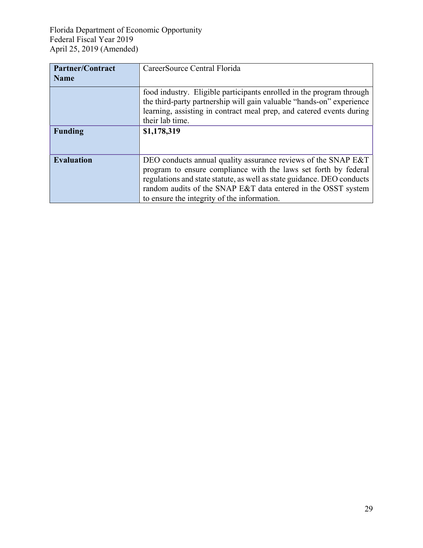| <b>Partner/Contract</b> | CareerSource Central Florida                                           |
|-------------------------|------------------------------------------------------------------------|
| <b>Name</b>             |                                                                        |
|                         | food industry. Eligible participants enrolled in the program through   |
|                         | the third-party partnership will gain valuable "hands-on" experience   |
|                         | learning, assisting in contract meal prep, and catered events during   |
|                         | their lab time.                                                        |
| <b>Funding</b>          | \$1,178,319                                                            |
|                         |                                                                        |
|                         |                                                                        |
| <b>Evaluation</b>       | DEO conducts annual quality assurance reviews of the SNAP E&T          |
|                         | program to ensure compliance with the laws set forth by federal        |
|                         | regulations and state statute, as well as state guidance. DEO conducts |
|                         | random audits of the SNAP E&T data entered in the OSST system          |
|                         | to ensure the integrity of the information.                            |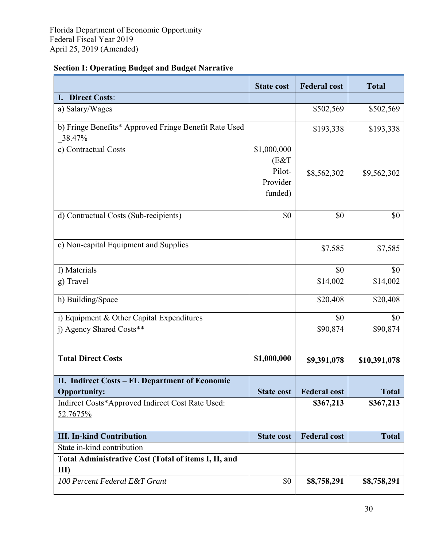| <b>Section I: Operating Budget and Budget Narrative</b> |  |  |
|---------------------------------------------------------|--|--|
|                                                         |  |  |

|                                                                 | <b>State cost</b>                                    | <b>Federal cost</b> | <b>Total</b> |
|-----------------------------------------------------------------|------------------------------------------------------|---------------------|--------------|
| I. Direct Costs:                                                |                                                      |                     |              |
| a) Salary/Wages                                                 |                                                      | \$502,569           | \$502,569    |
| b) Fringe Benefits* Approved Fringe Benefit Rate Used<br>38.47% |                                                      | \$193,338           | \$193,338    |
| c) Contractual Costs                                            | \$1,000,000<br>(E&T<br>Pilot-<br>Provider<br>funded) | \$8,562,302         | \$9,562,302  |
| d) Contractual Costs (Sub-recipients)                           | \$0                                                  | \$0                 | \$0          |
| e) Non-capital Equipment and Supplies                           |                                                      | \$7,585             | \$7,585      |
| f) Materials                                                    |                                                      | \$0                 | \$0          |
| g) Travel                                                       |                                                      | \$14,002            | \$14,002     |
| h) Building/Space                                               |                                                      | \$20,408            | \$20,408     |
| i) Equipment & Other Capital Expenditures                       |                                                      | \$0                 | \$0          |
| j) Agency Shared Costs**                                        |                                                      | \$90,874            | \$90,874     |
| <b>Total Direct Costs</b>                                       | \$1,000,000                                          | \$9,391,078         | \$10,391,078 |
| II. Indirect Costs - FL Department of Economic                  |                                                      |                     |              |
| <b>Opportunity:</b>                                             | <b>State cost</b>                                    | <b>Federal cost</b> | <b>Total</b> |
| Indirect Costs*Approved Indirect Cost Rate Used:                |                                                      | \$367,213           | \$367,213    |
| 52.7675%                                                        |                                                      |                     |              |
| <b>III. In-kind Contribution</b>                                | <b>State cost</b>                                    | <b>Federal cost</b> | <b>Total</b> |
| State in-kind contribution                                      |                                                      |                     |              |
| Total Administrative Cost (Total of items I, II, and            |                                                      |                     |              |
| III)                                                            |                                                      |                     |              |
| 100 Percent Federal E&T Grant                                   | \$0                                                  | \$8,758,291         | \$8,758,291  |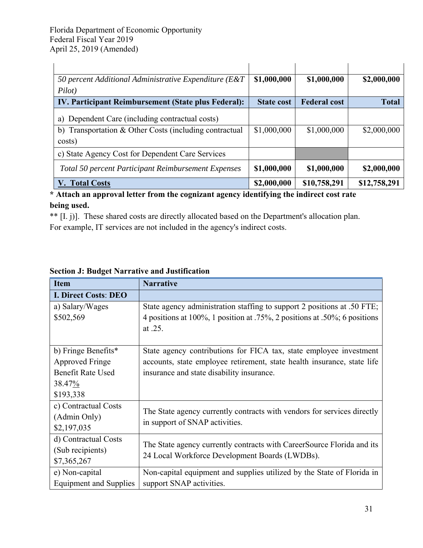| 50 percent Additional Administrative Expenditure ( $E&T$      | \$1,000,000       | \$1,000,000         | \$2,000,000  |
|---------------------------------------------------------------|-------------------|---------------------|--------------|
| Pilot)<br>IV. Participant Reimbursement (State plus Federal): | <b>State cost</b> | <b>Federal cost</b> | <b>Total</b> |
|                                                               |                   |                     |              |
| a) Dependent Care (including contractual costs)               |                   |                     |              |
| b) Transportation & Other Costs (including contractual        | \$1,000,000       | \$1,000,000         | \$2,000,000  |
| costs)                                                        |                   |                     |              |
| c) State Agency Cost for Dependent Care Services              |                   |                     |              |
| Total 50 percent Participant Reimbursement Expenses           | \$1,000,000       | \$1,000,000         | \$2,000,000  |
| V. Total Costs                                                | \$2,000,000       | \$10,758,291        | \$12,758,291 |

## **\* Attach an approval letter from the cognizant agency identifying the indirect cost rate being used.**

\*\* [I. j)]. These shared costs are directly allocated based on the Department's allocation plan. For example, IT services are not included in the agency's indirect costs.

| <b>Item</b>                   | <b>Narrative</b>                                                          |
|-------------------------------|---------------------------------------------------------------------------|
| <b>I. Direct Costs: DEO</b>   |                                                                           |
| a) Salary/Wages               | State agency administration staffing to support 2 positions at .50 FTE;   |
| \$502,569                     | 4 positions at 100%, 1 position at .75%, 2 positions at .50%; 6 positions |
|                               | at .25.                                                                   |
|                               |                                                                           |
| b) Fringe Benefits*           | State agency contributions for FICA tax, state employee investment        |
| <b>Approved Fringe</b>        | accounts, state employee retirement, state health insurance, state life   |
| <b>Benefit Rate Used</b>      | insurance and state disability insurance.                                 |
| 38.47%                        |                                                                           |
| \$193,338                     |                                                                           |
| c) Contractual Costs          | The State agency currently contracts with vendors for services directly   |
| (Admin Only)                  | in support of SNAP activities.                                            |
| \$2,197,035                   |                                                                           |
| d) Contractual Costs          | The State agency currently contracts with CareerSource Florida and its    |
| (Sub recipients)              | 24 Local Workforce Development Boards (LWDBs).                            |
| \$7,365,267                   |                                                                           |
| e) Non-capital                | Non-capital equipment and supplies utilized by the State of Florida in    |
| <b>Equipment and Supplies</b> | support SNAP activities.                                                  |

# **Section J: Budget Narrative and Justification**